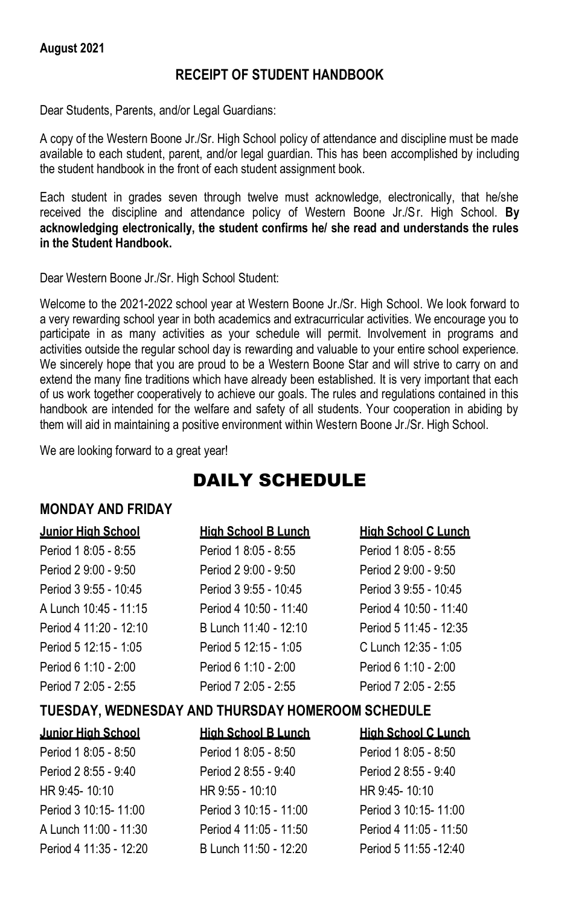#### **August 2021**

#### **RECEIPT OF STUDENT HANDBOOK**

Dear Students, Parents, and/or Legal Guardians:

A copy of the Western Boone Jr./Sr. High School policy of attendance and discipline must be made available to each student, parent, and/or legal guardian. This has been accomplished by including the student handbook in the front of each student assignment book.

Each student in grades seven through twelve must acknowledge, electronically, that he/she received the discipline and attendance policy of Western Boone Jr./Sr. High School. **By acknowledging electronically, the student confirms he/ she read and understands the rules in the Student Handbook.**

Dear Western Boone Jr./Sr. High School Student:

Welcome to the 2021-2022 school year at Western Boone Jr./Sr. High School. We look forward to a very rewarding school year in both academics and extracurricular activities. We encourage you to participate in as many activities as your schedule will permit. Involvement in programs and activities outside the regular school day is rewarding and valuable to your entire school experience. We sincerely hope that you are proud to be a Western Boone Star and will strive to carry on and extend the many fine traditions which have already been established. It is very important that each of us work together cooperatively to achieve our goals. The rules and regulations contained in this handbook are intended for the welfare and safety of all students. Your cooperation in abiding by them will aid in maintaining a positive environment within Western Boone Jr./Sr. High School.

We are looking forward to a great year!

# DAILY SCHEDULE

#### **MONDAY AND FRIDAY**

# **Junior High School High School B Lunch High School C Lunch**

| Period 1 8:05 - 8:55   | Period 1 8:05 - 8:55   | Period 1 8:05 - 8:55   |
|------------------------|------------------------|------------------------|
| Period 2 9:00 - 9:50   | Period 2 9:00 - 9:50   | Period 2 9:00 - 9:50   |
| Period 3 9:55 - 10:45  | Period 3 9:55 - 10:45  | Period 3 9:55 - 10:45  |
| A Lunch 10:45 - 11:15  | Period 4 10:50 - 11:40 | Period 4 10:50 - 11:40 |
| Period 4 11:20 - 12:10 | B Lunch 11:40 - 12:10  | Period 5 11:45 - 12:35 |
| Period 5 12:15 - 1:05  | Period 5 12:15 - 1:05  | C Lunch 12:35 - 1:05   |
| Period 6 1:10 - 2:00   | Period 6 1:10 - 2:00   | Period 6 1:10 - 2:00   |
| Period 7 2:05 - 2:55   | Period 7 2:05 - 2:55   | Period 7 2:05 - 2:55   |
|                        |                        |                        |

#### **TUESDAY, WEDNESDAY AND THURSDAY HOMEROOM SCHEDULE**

| <b>Junior High School</b> | <b>High School B Lunch</b> | <b>High School C Lunch</b> |
|---------------------------|----------------------------|----------------------------|
| Period 1 8:05 - 8:50      | Period 1 8:05 - 8:50       | Period 1 8:05 - 8:50       |
| Period 2 8:55 - 9:40      | Period 2 8:55 - 9:40       | Period 2 8:55 - 9:40       |
| HR 9:45-10:10             | HR $9:55 - 10:10$          | HR 9:45-10:10              |
| Period 3 10:15-11:00      | Period 3 10:15 - 11:00     | Period 3 10:15-11:00       |
| A Lunch 11:00 - 11:30     | Period 4 11:05 - 11:50     | Period 4 11:05 - 11:50     |
| Period 4 11:35 - 12:20    | B Lunch 11:50 - 12:20      | Period 5 11:55 - 12:40     |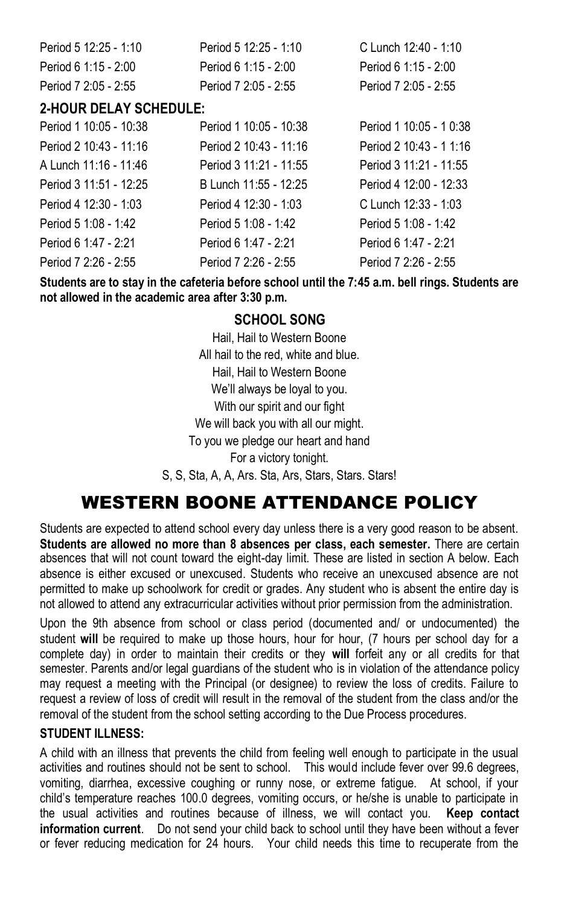| Period 5 12:25 - 1:10 | Period 5 12:25 - 1:10 | C Lunch 12:40 - 1:10 |
|-----------------------|-----------------------|----------------------|
| Period 6 1:15 - 2:00  | Period 6 1:15 - 2:00  | Period 6 1:15 - 2:00 |
| Period 7 2:05 - 2:55  | Period 7 2:05 - 2:55  | Period 7 2:05 - 2:55 |

# **2-HOUR DELAY SCHEDULE:**

| Period 1 10:05 - 10:38 | Period 1 10:05 - 10:38 | Period 1 10:05 - 1 0:38 |
|------------------------|------------------------|-------------------------|
| Period 2 10:43 - 11:16 | Period 2 10:43 - 11:16 | Period 2 10:43 - 1 1:16 |
| A Lunch 11:16 - 11:46  | Period 3 11:21 - 11:55 | Period 3 11:21 - 11:55  |
| Period 3 11:51 - 12:25 | B Lunch 11:55 - 12:25  | Period 4 12:00 - 12:33  |
| Period 4 12:30 - 1:03  | Period 4 12:30 - 1:03  | C Lunch 12:33 - 1:03    |
| Period 5 1:08 - 1:42   | Period 5 1:08 - 1:42   | Period 5 1:08 - 1:42    |
| Period 6 1:47 - 2:21   | Period 6 1:47 - 2:21   | Period 6 1:47 - 2:21    |
| Period 7 2:26 - 2:55   | Period 7 2:26 - 2:55   | Period 7 2:26 - 2:55    |

**Students are to stay in the cafeteria before school until the 7:45 a.m. bell rings. Students are not allowed in the academic area after 3:30 p.m.**

### **SCHOOL SONG**

Hail, Hail to Western Boone All hail to the red, white and blue. Hail, Hail to Western Boone We'll always be loyal to you. With our spirit and our fight We will back you with all our might. To you we pledge our heart and hand For a victory tonight. S, S, Sta, A, A, Ars. Sta, Ars, Stars, Stars. Stars!

# WESTERN BOONE ATTENDANCE POLICY

Students are expected to attend school every day unless there is a very good reason to be absent. **Students are allowed no more than 8 absences per class, each semester.** There are certain absences that will not count toward the eight-day limit. These are listed in section A below. Each absence is either excused or unexcused. Students who receive an unexcused absence are not permitted to make up schoolwork for credit or grades. Any student who is absent the entire day is not allowed to attend any extracurricular activities without prior permission from the administration.

Upon the 9th absence from school or class period (documented and/ or undocumented) the student **will** be required to make up those hours, hour for hour, (7 hours per school day for a complete day) in order to maintain their credits or they **will** forfeit any or all credits for that semester. Parents and/or legal guardians of the student who is in violation of the attendance policy may request a meeting with the Principal (or designee) to review the loss of credits. Failure to request a review of loss of credit will result in the removal of the student from the class and/or the removal of the student from the school setting according to the Due Process procedures.

#### **STUDENT ILLNESS:**

A child with an illness that prevents the child from feeling well enough to participate in the usual activities and routines should not be sent to school. This would include fever over 99.6 degrees, vomiting, diarrhea, excessive coughing or runny nose, or extreme fatigue. At school, if your child's temperature reaches 100.0 degrees, vomiting occurs, or he/she is unable to participate in the usual activities and routines because of illness, we will contact you. **Keep contact information current**. Do not send your child back to school until they have been without a fever or fever reducing medication for 24 hours. Your child needs this time to recuperate from the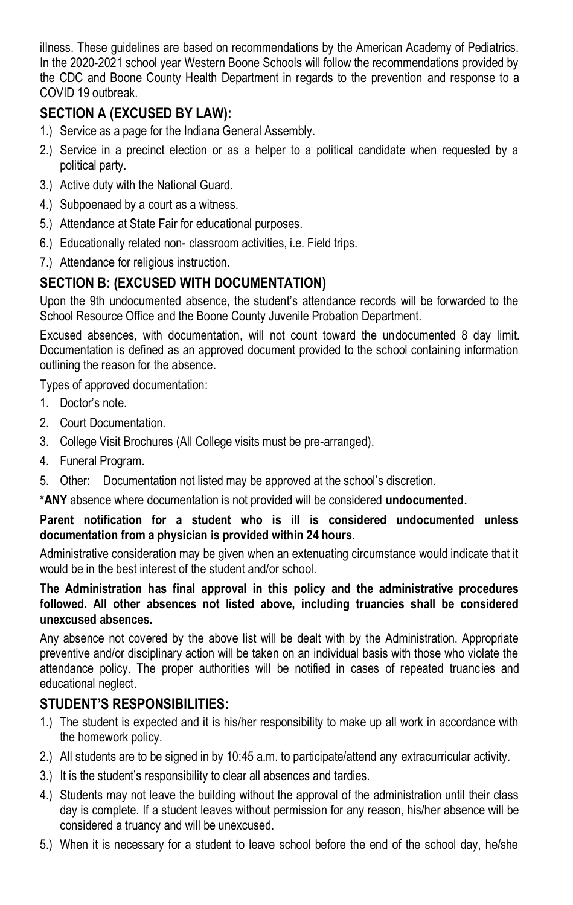illness. These guidelines are based on recommendations by the American Academy of Pediatrics. In the 2020-2021 school year Western Boone Schools will follow the recommendations provided by the CDC and Boone County Health Department in regards to the prevention and response to a COVID 19 outbreak.

# **SECTION A (EXCUSED BY LAW):**

- 1.) Service as a page for the Indiana General Assembly.
- 2.) Service in a precinct election or as a helper to a political candidate when requested by a political party.
- 3.) Active duty with the National Guard.
- 4.) Subpoenaed by a court as a witness.
- 5.) Attendance at State Fair for educational purposes.
- 6.) Educationally related non- classroom activities, i.e. Field trips.
- 7.) Attendance for religious instruction.

# **SECTION B: (EXCUSED WITH DOCUMENTATION)**

Upon the 9th undocumented absence, the student's attendance records will be forwarded to the School Resource Office and the Boone County Juvenile Probation Department.

Excused absences, with documentation, will not count toward the undocumented 8 day limit. Documentation is defined as an approved document provided to the school containing information outlining the reason for the absence.

Types of approved documentation:

- 1. Doctor's note.
- 2. Court Documentation.
- 3. College Visit Brochures (All College visits must be pre-arranged).
- 4. Funeral Program.
- 5. Other: Documentation not listed may be approved at the school's discretion.

**\*ANY** absence where documentation is not provided will be considered **undocumented.**

#### **Parent notification for a student who is ill is considered undocumented unless documentation from a physician is provided within 24 hours.**

Administrative consideration may be given when an extenuating circumstance would indicate that it would be in the best interest of the student and/or school.

#### **The Administration has final approval in this policy and the administrative procedures followed. All other absences not listed above, including truancies shall be considered unexcused absences.**

Any absence not covered by the above list will be dealt with by the Administration. Appropriate preventive and/or disciplinary action will be taken on an individual basis with those who violate the attendance policy. The proper authorities will be notified in cases of repeated truancies and educational neglect.

# **STUDENT'S RESPONSIBILITIES:**

- 1.) The student is expected and it is his/her responsibility to make up all work in accordance with the homework policy.
- 2.) All students are to be signed in by 10:45 a.m. to participate/attend any extracurricular activity.
- 3.) It is the student's responsibility to clear all absences and tardies.
- 4.) Students may not leave the building without the approval of the administration until their class day is complete. If a student leaves without permission for any reason, his/her absence will be considered a truancy and will be unexcused.
- 5.) When it is necessary for a student to leave school before the end of the school day, he/she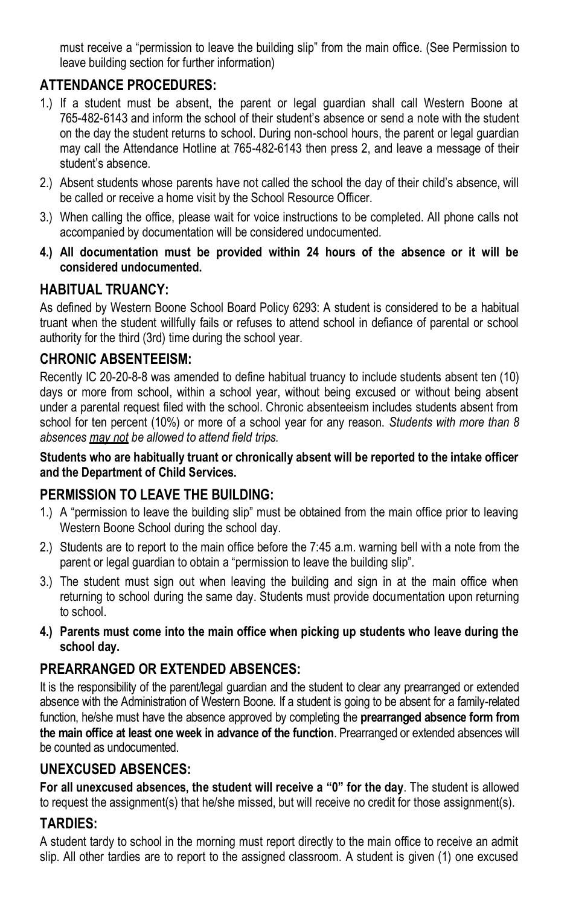must receive a "permission to leave the building slip" from the main office. (See Permission to leave building section for further information)

# **ATTENDANCE PROCEDURES:**

- 1.) If a student must be absent, the parent or legal guardian shall call Western Boone at 765-482-6143 and inform the school of their student's absence or send a note with the student on the day the student returns to school. During non-school hours, the parent or legal guardian may call the Attendance Hotline at 765-482-6143 then press 2, and leave a message of their student's absence.
- 2.) Absent students whose parents have not called the school the day of their child's absence, will be called or receive a home visit by the School Resource Officer.
- 3.) When calling the office, please wait for voice instructions to be completed. All phone calls not accompanied by documentation will be considered undocumented.
- **4.) All documentation must be provided within 24 hours of the absence or it will be considered undocumented.**

# **HABITUAL TRUANCY:**

As defined by Western Boone School Board Policy 6293: A student is considered to be a habitual truant when the student willfully fails or refuses to attend school in defiance of parental or school authority for the third (3rd) time during the school year.

# **CHRONIC ABSENTEEISM:**

Recently IC 20-20-8-8 was amended to define habitual truancy to include students absent ten (10) days or more from school, within a school year, without being excused or without being absent under a parental request filed with the school. Chronic absenteeism includes students absent from school for ten percent (10%) or more of a school year for any reason. *Students with more than 8 absences may not be allowed to attend field trips.*

#### **Students who are habitually truant or chronically absent will be reported to the intake officer and the Department of Child Services.**

# **PERMISSION TO LEAVE THE BUILDING:**

- 1.) A "permission to leave the building slip" must be obtained from the main office prior to leaving Western Boone School during the school day.
- 2.) Students are to report to the main office before the 7:45 a.m. warning bell with a note from the parent or legal guardian to obtain a "permission to leave the building slip".
- 3.) The student must sign out when leaving the building and sign in at the main office when returning to school during the same day. Students must provide documentation upon returning to school.
- **4.) Parents must come into the main office when picking up students who leave during the school day.**

# **PREARRANGED OR EXTENDED ABSENCES:**

It is the responsibility of the parent/legal guardian and the student to clear any prearranged or extended absence with the Administration of Western Boone. If a student is going to be absent for a family-related function, he/she must have the absence approved by completing the **prearranged absence form from the main office at least one week in advance of the function**. Prearranged or extended absences will be counted as undocumented.

# **UNEXCUSED ABSENCES:**

**For all unexcused absences, the student will receive a "0" for the day**. The student is allowed to request the assignment(s) that he/she missed, but will receive no credit for those assignment(s).

# **TARDIES:**

A student tardy to school in the morning must report directly to the main office to receive an admit slip. All other tardies are to report to the assigned classroom. A student is given (1) one excused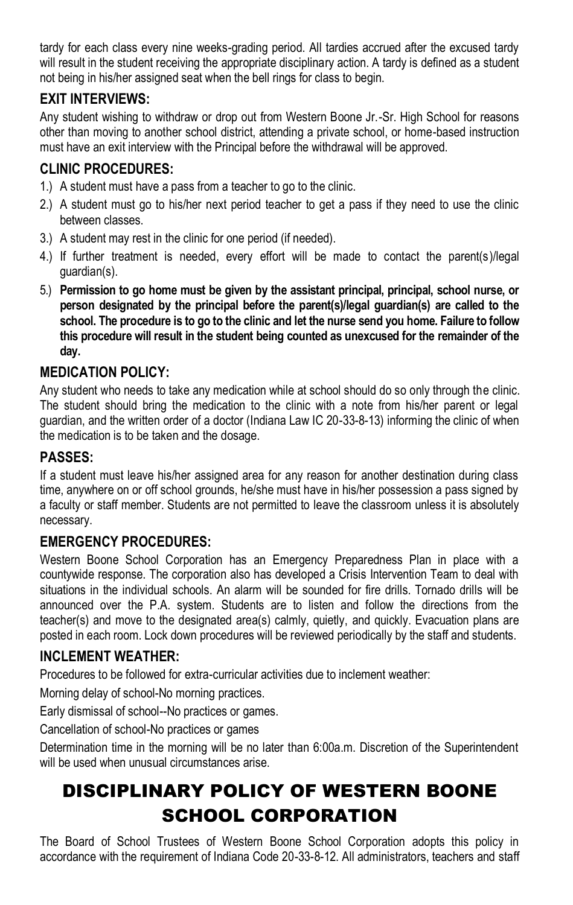tardy for each class every nine weeks-grading period. All tardies accrued after the excused tardy will result in the student receiving the appropriate disciplinary action. A tardy is defined as a student not being in his/her assigned seat when the bell rings for class to begin.

# **EXIT INTERVIEWS:**

Any student wishing to withdraw or drop out from Western Boone Jr.-Sr. High School for reasons other than moving to another school district, attending a private school, or home-based instruction must have an exit interview with the Principal before the withdrawal will be approved.

# **CLINIC PROCEDURES:**

- 1.) A student must have a pass from a teacher to go to the clinic.
- 2.) A student must go to his/her next period teacher to get a pass if they need to use the clinic between classes.
- 3.) A student may rest in the clinic for one period (if needed).
- 4.) If further treatment is needed, every effort will be made to contact the parent(s)/legal guardian(s).
- 5.) **Permission to go home must be given by the assistant principal, principal, school nurse, or person designated by the principal before the parent(s)/legal guardian(s) are called to the school. The procedure is to go to the clinic and let the nurse send you home. Failure to follow this procedure will result in the student being counted as unexcused for the remainder of the day.**

# **MEDICATION POLICY:**

Any student who needs to take any medication while at school should do so only through the clinic. The student should bring the medication to the clinic with a note from his/her parent or legal guardian, and the written order of a doctor (Indiana Law IC 20-33-8-13) informing the clinic of when the medication is to be taken and the dosage.

# **PASSES:**

If a student must leave his/her assigned area for any reason for another destination during class time, anywhere on or off school grounds, he/she must have in his/her possession a pass signed by a faculty or staff member. Students are not permitted to leave the classroom unless it is absolutely necessary.

# **EMERGENCY PROCEDURES:**

Western Boone School Corporation has an Emergency Preparedness Plan in place with a countywide response. The corporation also has developed a Crisis Intervention Team to deal with situations in the individual schools. An alarm will be sounded for fire drills. Tornado drills will be announced over the P.A. system. Students are to listen and follow the directions from the teacher(s) and move to the designated area(s) calmly, quietly, and quickly. Evacuation plans are posted in each room. Lock down procedures will be reviewed periodically by the staff and students.

#### **INCLEMENT WEATHER:**

Procedures to be followed for extra-curricular activities due to inclement weather:

Morning delay of school-No morning practices.

Early dismissal of school--No practices or games.

Cancellation of school-No practices or games

Determination time in the morning will be no later than 6:00a.m. Discretion of the Superintendent will be used when unusual circumstances arise.

# DISCIPLINARY POLICY OF WESTERN BOONE SCHOOL CORPORATION

The Board of School Trustees of Western Boone School Corporation adopts this policy in accordance with the requirement of Indiana Code 20-33-8-12. All administrators, teachers and staff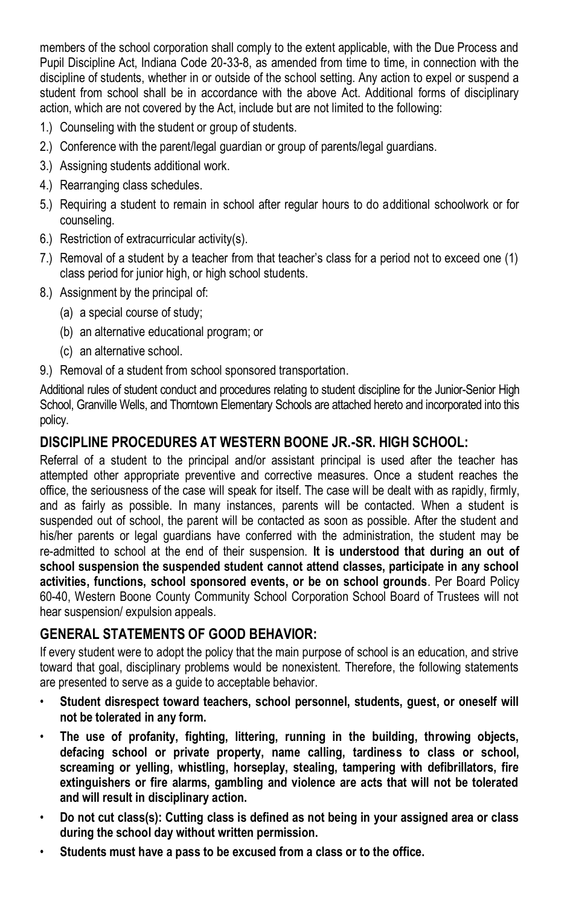members of the school corporation shall comply to the extent applicable, with the Due Process and Pupil Discipline Act, Indiana Code 20-33-8, as amended from time to time, in connection with the discipline of students, whether in or outside of the school setting. Any action to expel or suspend a student from school shall be in accordance with the above Act. Additional forms of disciplinary action, which are not covered by the Act, include but are not limited to the following:

- 1.) Counseling with the student or group of students.
- 2.) Conference with the parent/legal guardian or group of parents/legal guardians.
- 3.) Assigning students additional work.
- 4.) Rearranging class schedules.
- 5.) Requiring a student to remain in school after regular hours to do additional schoolwork or for counseling.
- 6.) Restriction of extracurricular activity(s).
- 7.) Removal of a student by a teacher from that teacher's class for a period not to exceed one (1) class period for junior high, or high school students.
- 8.) Assignment by the principal of:
	- (a) a special course of study;
	- (b) an alternative educational program; or
	- (c) an alternative school.
- 9.) Removal of a student from school sponsored transportation.

Additional rules of student conduct and procedures relating to student discipline for the Junior-Senior High School, Granville Wells, and Thorntown Elementary Schools are attached hereto and incorporated into this policy.

### **DISCIPLINE PROCEDURES AT WESTERN BOONE JR.-SR. HIGH SCHOOL:**

Referral of a student to the principal and/or assistant principal is used after the teacher has attempted other appropriate preventive and corrective measures. Once a student reaches the office, the seriousness of the case will speak for itself. The case will be dealt with as rapidly, firmly, and as fairly as possible. In many instances, parents will be contacted. When a student is suspended out of school, the parent will be contacted as soon as possible. After the student and his/her parents or legal guardians have conferred with the administration, the student may be re-admitted to school at the end of their suspension. **It is understood that during an out of school suspension the suspended student cannot attend classes, participate in any school activities, functions, school sponsored events, or be on school grounds**. Per Board Policy 60-40, Western Boone County Community School Corporation School Board of Trustees will not hear suspension/ expulsion appeals.

# **GENERAL STATEMENTS OF GOOD BEHAVIOR:**

If every student were to adopt the policy that the main purpose of school is an education, and strive toward that goal, disciplinary problems would be nonexistent. Therefore, the following statements are presented to serve as a guide to acceptable behavior.

- **Student disrespect toward teachers, school personnel, students, guest, or oneself will not be tolerated in any form.**
- **The use of profanity, fighting, littering, running in the building, throwing objects, defacing school or private property, name calling, tardiness to class or school, screaming or yelling, whistling, horseplay, stealing, tampering with defibrillators, fire extinguishers or fire alarms, gambling and violence are acts that will not be tolerated and will result in disciplinary action.**
- **Do not cut class(s): Cutting class is defined as not being in your assigned area or class during the school day without written permission.**
- **Students must have a pass to be excused from a class or to the office.**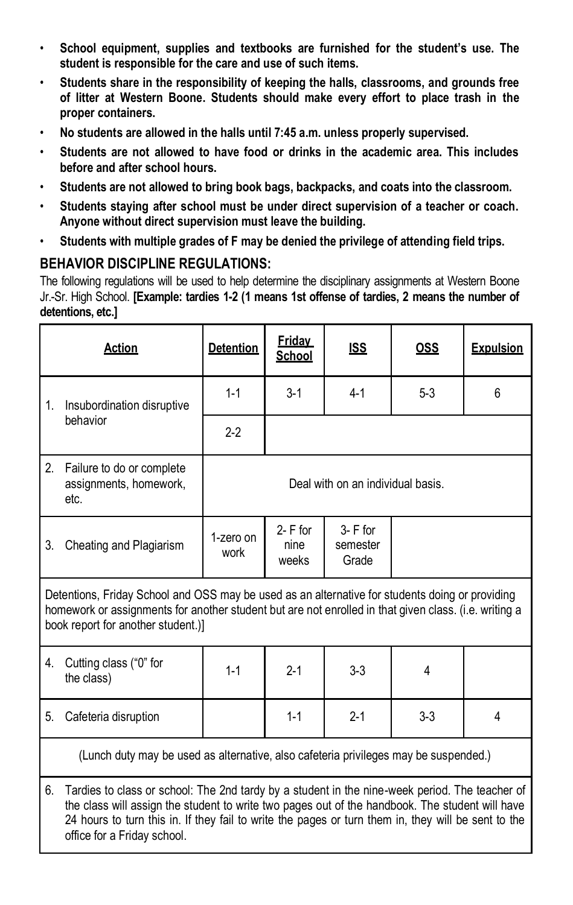- **School equipment, supplies and textbooks are furnished for the student's use. The student is responsible for the care and use of such items.**
- **Students share in the responsibility of keeping the halls, classrooms, and grounds free of litter at Western Boone. Students should make every effort to place trash in the proper containers.**
- **No students are allowed in the halls until 7:45 a.m. unless properly supervised.**
- **Students are not allowed to have food or drinks in the academic area. This includes before and after school hours.**
- **Students are not allowed to bring book bags, backpacks, and coats into the classroom.**
- **Students staying after school must be under direct supervision of a teacher or coach. Anyone without direct supervision must leave the building.**
- **Students with multiple grades of F may be denied the privilege of attending field trips.**

# **BEHAVIOR DISCIPLINE REGULATIONS:**

The following regulations will be used to help determine the disciplinary assignments at Western Boone Jr.-Sr. High School. **[Example: tardies 1-2 (1 means 1st offense of tardies, 2 means the number of detentions, etc.]**

|                                                                                      | Action                                                                                                                                                                                                                                                                                                                                  | <b>Detention</b>                  | <b>Fridav</b><br>School      | <b>ISS</b>                       | <u>OSS</u> | <b>Expulsion</b> |
|--------------------------------------------------------------------------------------|-----------------------------------------------------------------------------------------------------------------------------------------------------------------------------------------------------------------------------------------------------------------------------------------------------------------------------------------|-----------------------------------|------------------------------|----------------------------------|------------|------------------|
| 1.                                                                                   | Insubordination disruptive                                                                                                                                                                                                                                                                                                              | $1 - 1$                           | $3 - 1$                      | $4 - 1$                          | $5 - 3$    | 6                |
|                                                                                      | behavior                                                                                                                                                                                                                                                                                                                                | $2 - 2$                           |                              |                                  |            |                  |
| 2.                                                                                   | Failure to do or complete<br>assignments, homework,<br>etc.                                                                                                                                                                                                                                                                             | Deal with on an individual basis. |                              |                                  |            |                  |
| 3.                                                                                   | Cheating and Plagiarism                                                                                                                                                                                                                                                                                                                 | 1-zero on<br>work                 | $2 - F$ for<br>nine<br>weeks | $3 - F$ for<br>semester<br>Grade |            |                  |
|                                                                                      | Detentions, Friday School and OSS may be used as an alternative for students doing or providing<br>homework or assignments for another student but are not enrolled in that given class. (i.e. writing a<br>book report for another student.)]                                                                                          |                                   |                              |                                  |            |                  |
| 4.                                                                                   | Cutting class ("0" for<br>the class)                                                                                                                                                                                                                                                                                                    | $1 - 1$                           | $2 - 1$                      | $3 - 3$                          | 4          |                  |
| 5.                                                                                   | Cafeteria disruption                                                                                                                                                                                                                                                                                                                    |                                   | $1 - 1$                      | $2 - 1$                          | $3-3$      | 4                |
| (Lunch duty may be used as alternative, also cafeteria privileges may be suspended.) |                                                                                                                                                                                                                                                                                                                                         |                                   |                              |                                  |            |                  |
| 6.                                                                                   | Tardies to class or school: The 2nd tardy by a student in the nine-week period. The teacher of<br>the class will assign the student to write two pages out of the handbook. The student will have<br>24 hours to turn this in. If they fail to write the pages or turn them in, they will be sent to the<br>office for a Friday school. |                                   |                              |                                  |            |                  |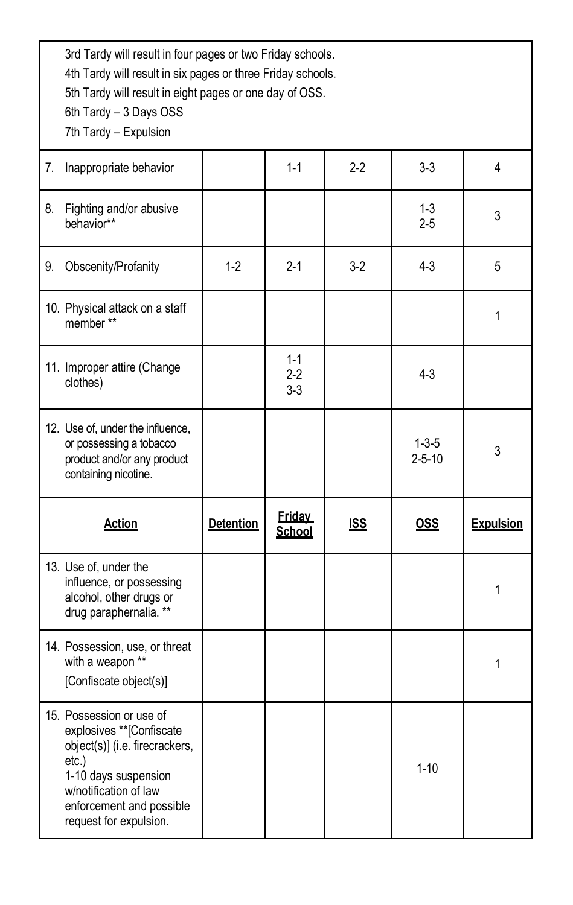3rd Tardy will result in four pages or two Friday schools.

4th Tardy will result in six pages or three Friday schools.

5th Tardy will result in eight pages or one day of OSS.

6th Tardy – 3 Days OSS

7th Tardy – Expulsion

| 7. | Inappropriate behavior                                                                                            |                  | $1 - 1$                     | $2-2$      | $3 - 3$                     | 4                |
|----|-------------------------------------------------------------------------------------------------------------------|------------------|-----------------------------|------------|-----------------------------|------------------|
| 8. | Fighting and/or abusive<br>behavior**                                                                             |                  |                             |            | $1 - 3$<br>$2 - 5$          | 3                |
| 9. | Obscenity/Profanity                                                                                               | $1-2$            | $2 - 1$                     | $3-2$      | $4 - 3$                     | 5                |
|    | 10. Physical attack on a staff<br>member**                                                                        |                  |                             |            |                             | 1                |
|    | 11. Improper attire (Change<br>clothes)                                                                           |                  | $1 - 1$<br>$2-2$<br>$3 - 3$ |            | $4 - 3$                     |                  |
|    | 12. Use of, under the influence,<br>or possessing a tobacco<br>product and/or any product<br>containing nicotine. |                  |                             |            | $1 - 3 - 5$<br>$2 - 5 - 10$ | 3                |
|    |                                                                                                                   |                  |                             |            |                             |                  |
|    | <b>Action</b>                                                                                                     | <b>Detention</b> | <b>Friday</b><br>School     | <b>ISS</b> | <b>OSS</b>                  | <b>Expulsion</b> |
|    | 13. Use of, under the<br>influence, or possessing<br>alcohol, other drugs or<br>drug paraphernalia. **            |                  |                             |            |                             | 1                |
|    | 14. Possession, use, or threat<br>with a weapon **<br>[Confiscate object(s)]                                      |                  |                             |            |                             | 1                |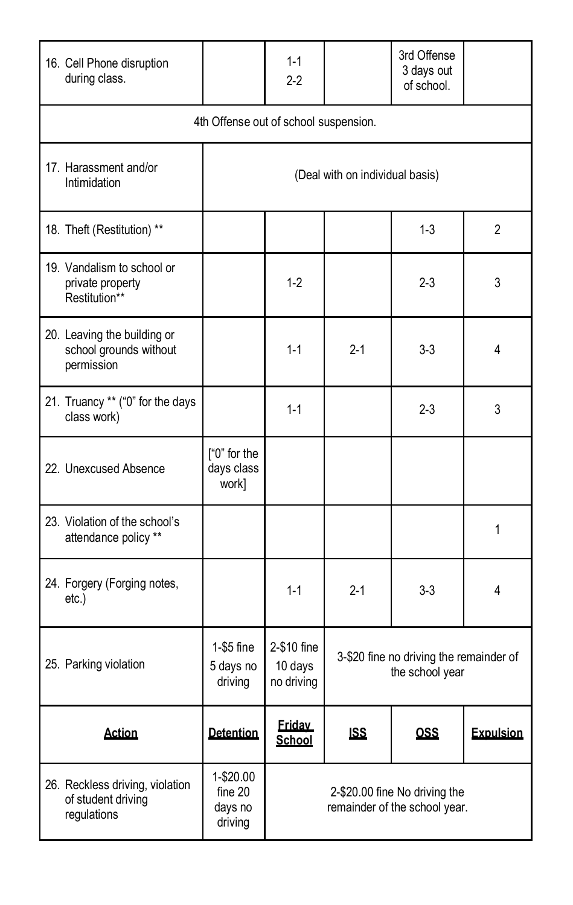| 16. Cell Phone disruption<br>during class.                           |                                            | $1 - 1$<br>2-2                       |                                                            | 3rd Offense<br>3 days out<br>of school.                        |                  |  |
|----------------------------------------------------------------------|--------------------------------------------|--------------------------------------|------------------------------------------------------------|----------------------------------------------------------------|------------------|--|
| 4th Offense out of school suspension.                                |                                            |                                      |                                                            |                                                                |                  |  |
| 17. Harassment and/or<br>Intimidation                                |                                            |                                      | (Deal with on individual basis)                            |                                                                |                  |  |
| 18. Theft (Restitution) **                                           |                                            |                                      |                                                            | $1 - 3$                                                        | 2                |  |
| 19. Vandalism to school or<br>private property<br>Restitution**      |                                            | $1-2$                                |                                                            | $2 - 3$                                                        | 3                |  |
| 20. Leaving the building or<br>school grounds without<br>permission  |                                            | $1 - 1$                              | $2 - 1$                                                    | $3 - 3$                                                        | 4                |  |
| 21. Truancy ** ("0" for the days<br>class work)                      |                                            | $1 - 1$                              |                                                            | $2 - 3$                                                        | 3                |  |
| 22. Unexcused Absence                                                | ["0" for the<br>days class<br>work]        |                                      |                                                            |                                                                |                  |  |
| 23. Violation of the school's<br>attendance policy **                |                                            |                                      |                                                            |                                                                | 1                |  |
| 24. Forgery (Forging notes,<br>$etc.$ )                              |                                            | $1 - 1$                              | $2 - 1$                                                    | $3-3$                                                          | 4                |  |
| 25. Parking violation                                                | 1-\$5 fine<br>5 days no<br>driving         | 2-\$10 fine<br>10 days<br>no driving | 3-\$20 fine no driving the remainder of<br>the school year |                                                                |                  |  |
| <b>Action</b>                                                        | <b>Detention</b>                           | <b>Friday</b><br>School              | <u>ISS</u>                                                 | <u>OSS</u>                                                     | <b>Expulsion</b> |  |
| 26. Reckless driving, violation<br>of student driving<br>regulations | 1-\$20.00<br>fine 20<br>days no<br>driving |                                      |                                                            | 2-\$20.00 fine No driving the<br>remainder of the school year. |                  |  |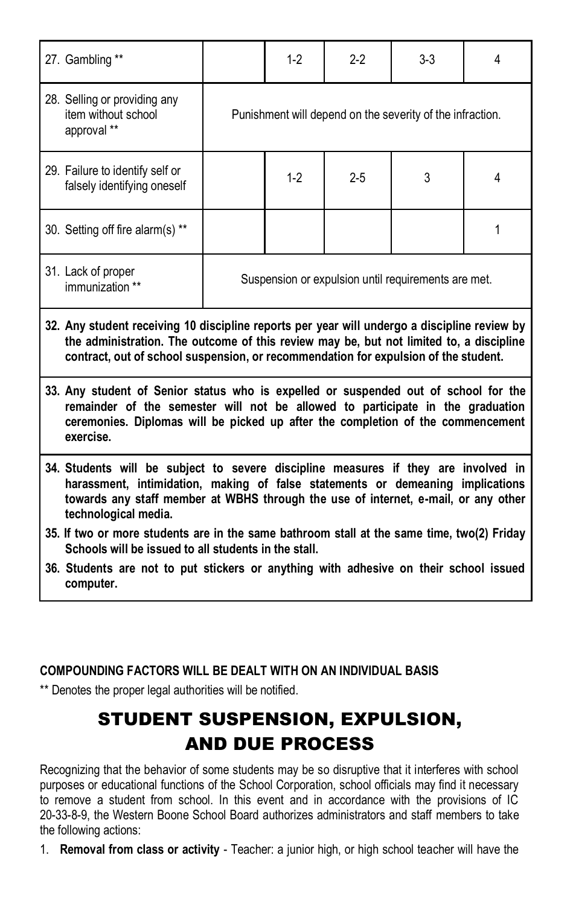| 27. Gambling **                                                                                                                                                                                                                                                                    |                                                           | $1-2$ | $2-2$ | $3-3$ | 4 |
|------------------------------------------------------------------------------------------------------------------------------------------------------------------------------------------------------------------------------------------------------------------------------------|-----------------------------------------------------------|-------|-------|-------|---|
| 28. Selling or providing any<br>item without school<br>approval **                                                                                                                                                                                                                 | Punishment will depend on the severity of the infraction. |       |       |       |   |
| 29. Failure to identify self or<br>falsely identifying oneself                                                                                                                                                                                                                     |                                                           | $1-2$ | $2-5$ | 3     | 4 |
| 30. Setting off fire alarm(s) **                                                                                                                                                                                                                                                   |                                                           |       |       |       | 1 |
| 31. Lack of proper<br>immunization **                                                                                                                                                                                                                                              | Suspension or expulsion until requirements are met.       |       |       |       |   |
| 32. Any student receiving 10 discipline reports per year will undergo a discipline review by<br>the administration. The outcome of this review may be, but not limited to, a discipline<br>contract, out of school suspension, or recommendation for expulsion of the student.     |                                                           |       |       |       |   |
| 33. Any student of Senior status who is expelled or suspended out of school for the<br>remainder of the semester will not be allowed to participate in the graduation<br>ceremonies. Diplomas will be picked up after the completion of the commencement<br>exercise.              |                                                           |       |       |       |   |
| 34. Students will be subject to severe discipline measures if they are involved in<br>harassment, intimidation, making of false statements or demeaning implications<br>towards any staff member at WBHS through the use of internet, e-mail, or any other<br>technological media. |                                                           |       |       |       |   |
| 35. If two or more students are in the same bathroom stall at the same time, two(2) Friday<br>Schools will be issued to all students in the stall.                                                                                                                                 |                                                           |       |       |       |   |
| 36. Students are not to put stickers or anything with adhesive on their school issued<br>computer.                                                                                                                                                                                 |                                                           |       |       |       |   |
|                                                                                                                                                                                                                                                                                    |                                                           |       |       |       |   |

#### **COMPOUNDING FACTORS WILL BE DEALT WITH ON AN INDIVIDUAL BASIS**

\*\* Denotes the proper legal authorities will be notified.

# STUDENT SUSPENSION, EXPULSION, AND DUE PROCESS

Recognizing that the behavior of some students may be so disruptive that it interferes with school purposes or educational functions of the School Corporation, school officials may find it necessary to remove a student from school. In this event and in accordance with the provisions of IC 20-33-8-9, the Western Boone School Board authorizes administrators and staff members to take the following actions:

1. **Removal from class or activity** - Teacher: a junior high, or high school teacher will have the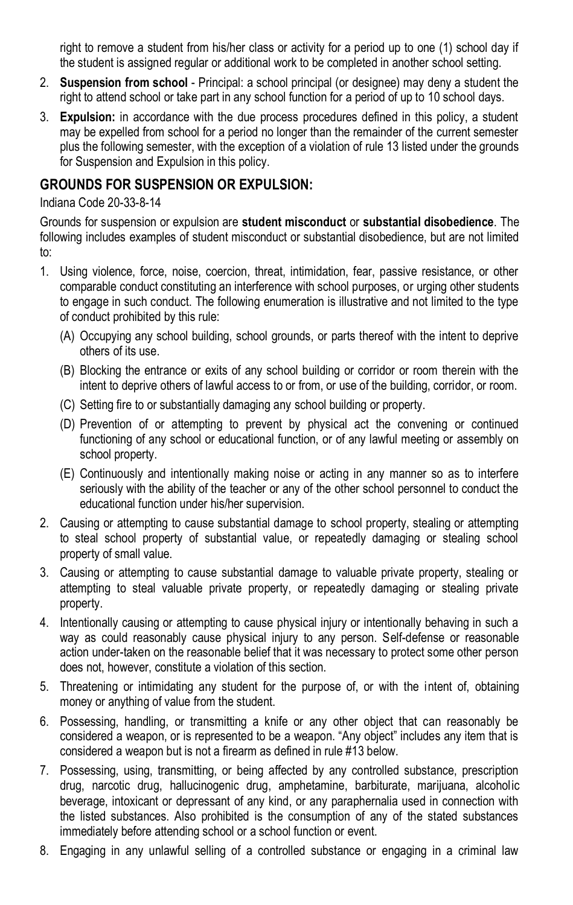right to remove a student from his/her class or activity for a period up to one (1) school day if the student is assigned regular or additional work to be completed in another school setting.

- 2. **Suspension from school** Principal: a school principal (or designee) may deny a student the right to attend school or take part in any school function for a period of up to 10 school days.
- 3. **Expulsion:** in accordance with the due process procedures defined in this policy, a student may be expelled from school for a period no longer than the remainder of the current semester plus the following semester, with the exception of a violation of rule 13 listed under the grounds for Suspension and Expulsion in this policy.

### **GROUNDS FOR SUSPENSION OR EXPULSION:**

#### Indiana Code 20-33-8-14

Grounds for suspension or expulsion are **student misconduct** or **substantial disobedience**. The following includes examples of student misconduct or substantial disobedience, but are not limited to:

- 1. Using violence, force, noise, coercion, threat, intimidation, fear, passive resistance, or other comparable conduct constituting an interference with school purposes, or urging other students to engage in such conduct. The following enumeration is illustrative and not limited to the type of conduct prohibited by this rule:
	- (A) Occupying any school building, school grounds, or parts thereof with the intent to deprive others of its use.
	- (B) Blocking the entrance or exits of any school building or corridor or room therein with the intent to deprive others of lawful access to or from, or use of the building, corridor, or room.
	- (C) Setting fire to or substantially damaging any school building or property.
	- (D) Prevention of or attempting to prevent by physical act the convening or continued functioning of any school or educational function, or of any lawful meeting or assembly on school property.
	- (E) Continuously and intentionally making noise or acting in any manner so as to interfere seriously with the ability of the teacher or any of the other school personnel to conduct the educational function under his/her supervision.
- 2. Causing or attempting to cause substantial damage to school property, stealing or attempting to steal school property of substantial value, or repeatedly damaging or stealing school property of small value.
- 3. Causing or attempting to cause substantial damage to valuable private property, stealing or attempting to steal valuable private property, or repeatedly damaging or stealing private property.
- 4. Intentionally causing or attempting to cause physical injury or intentionally behaving in such a way as could reasonably cause physical injury to any person. Self-defense or reasonable action under-taken on the reasonable belief that it was necessary to protect some other person does not, however, constitute a violation of this section.
- 5. Threatening or intimidating any student for the purpose of, or with the intent of, obtaining money or anything of value from the student.
- 6. Possessing, handling, or transmitting a knife or any other object that can reasonably be considered a weapon, or is represented to be a weapon. "Any object" includes any item that is considered a weapon but is not a firearm as defined in rule #13 below.
- 7. Possessing, using, transmitting, or being affected by any controlled substance, prescription drug, narcotic drug, hallucinogenic drug, amphetamine, barbiturate, marijuana, alcohol ic beverage, intoxicant or depressant of any kind, or any paraphernalia used in connection with the listed substances. Also prohibited is the consumption of any of the stated substances immediately before attending school or a school function or event.
- 8. Engaging in any unlawful selling of a controlled substance or engaging in a criminal law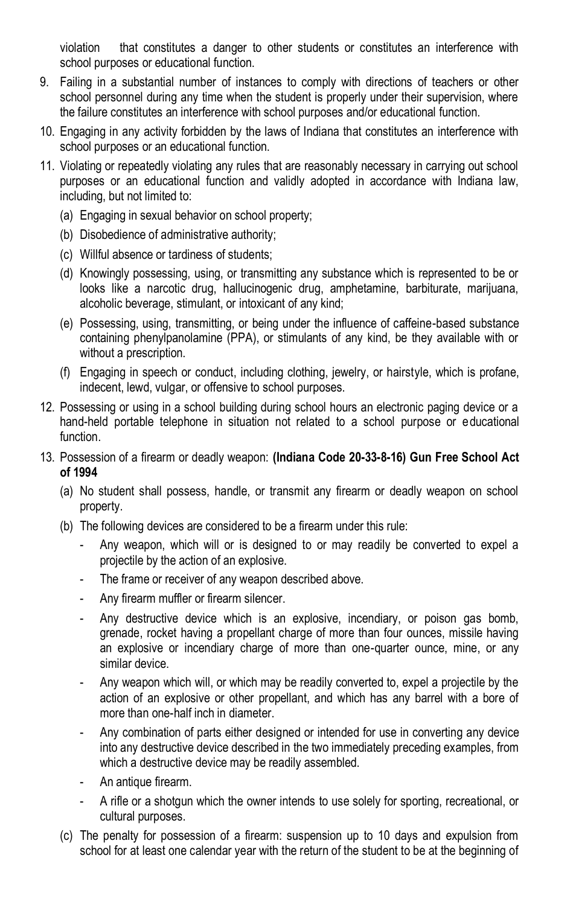violation that constitutes a danger to other students or constitutes an interference with school purposes or educational function.

- 9. Failing in a substantial number of instances to comply with directions of teachers or other school personnel during any time when the student is properly under their supervision, where the failure constitutes an interference with school purposes and/or educational function.
- 10. Engaging in any activity forbidden by the laws of Indiana that constitutes an interference with school purposes or an educational function.
- 11. Violating or repeatedly violating any rules that are reasonably necessary in carrying out school purposes or an educational function and validly adopted in accordance with Indiana law, including, but not limited to:
	- (a) Engaging in sexual behavior on school property;
	- (b) Disobedience of administrative authority;
	- (c) Willful absence or tardiness of students;
	- (d) Knowingly possessing, using, or transmitting any substance which is represented to be or looks like a narcotic drug, hallucinogenic drug, amphetamine, barbiturate, marijuana, alcoholic beverage, stimulant, or intoxicant of any kind;
	- (e) Possessing, using, transmitting, or being under the influence of caffeine-based substance containing phenylpanolamine (PPA), or stimulants of any kind, be they available with or without a prescription.
	- (f) Engaging in speech or conduct, including clothing, jewelry, or hairstyle, which is profane, indecent, lewd, vulgar, or offensive to school purposes.
- 12. Possessing or using in a school building during school hours an electronic paging device or a hand-held portable telephone in situation not related to a school purpose or educational function.
- 13. Possession of a firearm or deadly weapon: **(Indiana Code 20-33-8-16) Gun Free School Act of 1994**
	- (a) No student shall possess, handle, or transmit any firearm or deadly weapon on school property.
	- (b) The following devices are considered to be a firearm under this rule:
		- Any weapon, which will or is designed to or may readily be converted to expel a projectile by the action of an explosive.
		- The frame or receiver of any weapon described above.
		- Any firearm muffler or firearm silencer.
		- Any destructive device which is an explosive, incendiary, or poison gas bomb, grenade, rocket having a propellant charge of more than four ounces, missile having an explosive or incendiary charge of more than one-quarter ounce, mine, or any similar device.
		- Any weapon which will, or which may be readily converted to, expel a projectile by the action of an explosive or other propellant, and which has any barrel with a bore of more than one-half inch in diameter.
		- Any combination of parts either designed or intended for use in converting any device into any destructive device described in the two immediately preceding examples, from which a destructive device may be readily assembled.
		- An antique firearm.
		- A rifle or a shotgun which the owner intends to use solely for sporting, recreational, or cultural purposes.
	- (c) The penalty for possession of a firearm: suspension up to 10 days and expulsion from school for at least one calendar year with the return of the student to be at the beginning of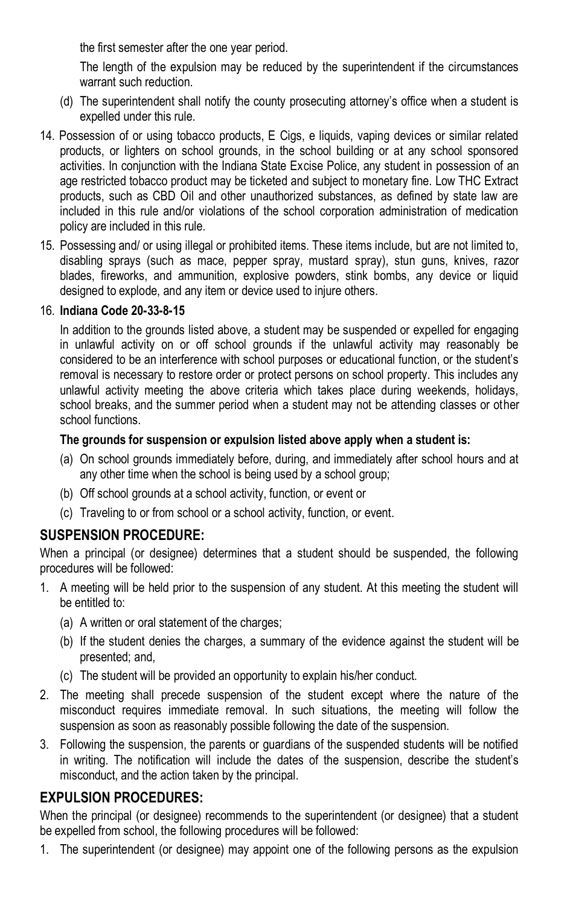the first semester after the one year period.

The length of the expulsion may be reduced by the superintendent if the circumstances warrant such reduction.

- (d) The superintendent shall notify the county prosecuting attorney's office when a student is expelled under this rule.
- 14. Possession of or using tobacco products, E Cigs, e liquids, vaping devices or similar related products, or lighters on school grounds, in the school building or at any school sponsored activities. In conjunction with the Indiana State Excise Police, any student in possession of an age restricted tobacco product may be ticketed and subject to monetary fine. Low THC Extract products, such as CBD Oil and other unauthorized substances, as defined by state law are included in this rule and/or violations of the school corporation administration of medication policy are included in this rule.
- 15. Possessing and/ or using illegal or prohibited items. These items include, but are not limited to, disabling sprays (such as mace, pepper spray, mustard spray), stun guns, knives, razor blades, fireworks, and ammunition, explosive powders, stink bombs, any device or liquid designed to explode, and any item or device used to injure others.

#### 16. **Indiana Code 20-33-8-15**

In addition to the grounds listed above, a student may be suspended or expelled for engaging in unlawful activity on or off school grounds if the unlawful activity may reasonably be considered to be an interference with school purposes or educational function, or the student's removal is necessary to restore order or protect persons on school property. This includes any unlawful activity meeting the above criteria which takes place during weekends, holidays, school breaks, and the summer period when a student may not be attending classes or other school functions.

#### **The grounds for suspension or expulsion listed above apply when a student is:**

- (a) On school grounds immediately before, during, and immediately after school hours and at any other time when the school is being used by a school group;
- (b) Off school grounds at a school activity, function, or event or
- (c) Traveling to or from school or a school activity, function, or event.

#### **SUSPENSION PROCEDURE:**

When a principal (or designee) determines that a student should be suspended, the following procedures will be followed:

- 1. A meeting will be held prior to the suspension of any student. At this meeting the student will be entitled to:
	- (a) A written or oral statement of the charges;
	- (b) If the student denies the charges, a summary of the evidence against the student will be presented; and,
	- (c) The student will be provided an opportunity to explain his/her conduct.
- 2. The meeting shall precede suspension of the student except where the nature of the misconduct requires immediate removal. In such situations, the meeting will follow the suspension as soon as reasonably possible following the date of the suspension.
- 3. Following the suspension, the parents or guardians of the suspended students will be notified in writing. The notification will include the dates of the suspension, describe the student's misconduct, and the action taken by the principal.

#### **EXPULSION PROCEDURES:**

When the principal (or designee) recommends to the superintendent (or designee) that a student be expelled from school, the following procedures will be followed:

1. The superintendent (or designee) may appoint one of the following persons as the expulsion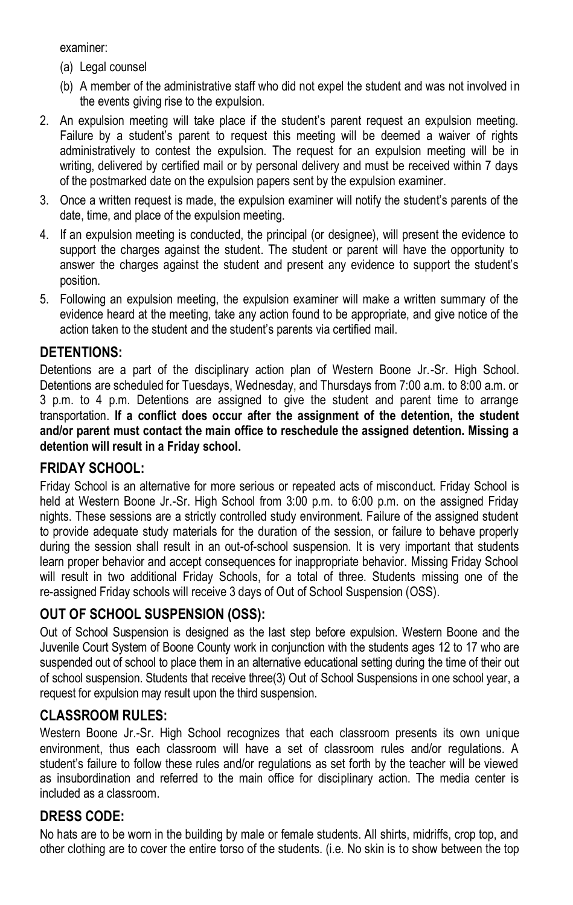examiner:

- (a) Legal counsel
- (b) A member of the administrative staff who did not expel the student and was not involved in the events giving rise to the expulsion.
- 2. An expulsion meeting will take place if the student's parent request an expulsion meeting. Failure by a student's parent to request this meeting will be deemed a waiver of rights administratively to contest the expulsion. The request for an expulsion meeting will be in writing, delivered by certified mail or by personal delivery and must be received within 7 days of the postmarked date on the expulsion papers sent by the expulsion examiner.
- 3. Once a written request is made, the expulsion examiner will notify the student's parents of the date, time, and place of the expulsion meeting.
- 4. If an expulsion meeting is conducted, the principal (or designee), will present the evidence to support the charges against the student. The student or parent will have the opportunity to answer the charges against the student and present any evidence to support the student's position.
- 5. Following an expulsion meeting, the expulsion examiner will make a written summary of the evidence heard at the meeting, take any action found to be appropriate, and give notice of the action taken to the student and the student's parents via certified mail.

### **DETENTIONS:**

Detentions are a part of the disciplinary action plan of Western Boone Jr.-Sr. High School. Detentions are scheduled for Tuesdays, Wednesday, and Thursdays from 7:00 a.m. to 8:00 a.m. or 3 p.m. to 4 p.m. Detentions are assigned to give the student and parent time to arrange transportation. **If a conflict does occur after the assignment of the detention, the student and/or parent must contact the main office to reschedule the assigned detention. Missing a detention will result in a Friday school.**

#### **FRIDAY SCHOOL:**

Friday School is an alternative for more serious or repeated acts of misconduct. Friday School is held at Western Boone Jr.-Sr. High School from 3:00 p.m. to 6:00 p.m. on the assigned Friday nights. These sessions are a strictly controlled study environment. Failure of the assigned student to provide adequate study materials for the duration of the session, or failure to behave properly during the session shall result in an out-of-school suspension. It is very important that students learn proper behavior and accept consequences for inappropriate behavior. Missing Friday School will result in two additional Friday Schools, for a total of three. Students missing one of the re-assigned Friday schools will receive 3 days of Out of School Suspension (OSS).

#### **OUT OF SCHOOL SUSPENSION (OSS):**

Out of School Suspension is designed as the last step before expulsion. Western Boone and the Juvenile Court System of Boone County work in conjunction with the students ages 12 to 17 who are suspended out of school to place them in an alternative educational setting during the time of their out of school suspension. Students that receive three(3) Out of School Suspensions in one school year, a request for expulsion may result upon the third suspension.

# **CLASSROOM RULES:**

Western Boone Jr.-Sr. High School recognizes that each classroom presents its own unique environment, thus each classroom will have a set of classroom rules and/or regulations. A student's failure to follow these rules and/or regulations as set forth by the teacher will be viewed as insubordination and referred to the main office for disciplinary action. The media center is included as a classroom.

# **DRESS CODE:**

No hats are to be worn in the building by male or female students. All shirts, midriffs, crop top, and other clothing are to cover the entire torso of the students. (i.e. No skin is to show between the top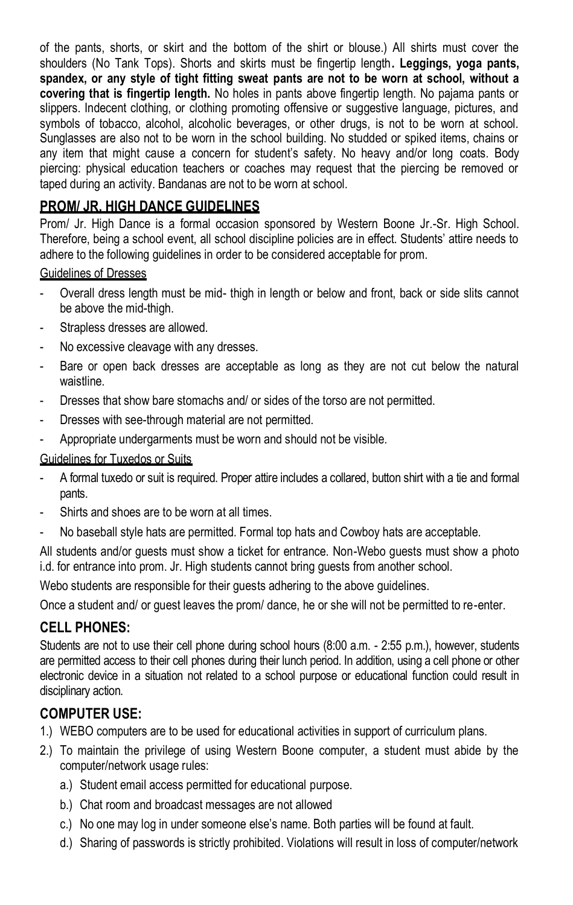of the pants, shorts, or skirt and the bottom of the shirt or blouse.) All shirts must cover the shoulders (No Tank Tops). Shorts and skirts must be fingertip length**. Leggings, yoga pants, spandex, or any style of tight fitting sweat pants are not to be worn at school, without a covering that is fingertip length.** No holes in pants above fingertip length. No pajama pants or slippers. Indecent clothing, or clothing promoting offensive or suggestive language, pictures, and symbols of tobacco, alcohol, alcoholic beverages, or other drugs, is not to be worn at school. Sunglasses are also not to be worn in the school building. No studded or spiked items, chains or any item that might cause a concern for student's safety. No heavy and/or long coats. Body piercing: physical education teachers or coaches may request that the piercing be removed or taped during an activity. Bandanas are not to be worn at school.

### **PROM/ JR. HIGH DANCE GUIDELINES**

Prom/ Jr. High Dance is a formal occasion sponsored by Western Boone Jr.-Sr. High School. Therefore, being a school event, all school discipline policies are in effect. Students' attire needs to adhere to the following guidelines in order to be considered acceptable for prom.

#### Guidelines of Dresses

- Overall dress length must be mid- thigh in length or below and front, back or side slits cannot be above the mid-thigh.
- Strapless dresses are allowed.
- No excessive cleavage with any dresses.
- Bare or open back dresses are acceptable as long as they are not cut below the natural waistline.
- Dresses that show bare stomachs and/ or sides of the torso are not permitted.
- Dresses with see-through material are not permitted.
- Appropriate undergarments must be worn and should not be visible.

#### Guidelines for Tuxedos or Suits

- A formal tuxedo or suit is required. Proper attire includes a collared, button shirt with a tie and formal pants.
- Shirts and shoes are to be worn at all times.
- No baseball style hats are permitted. Formal top hats and Cowboy hats are acceptable.

All students and/or guests must show a ticket for entrance. Non-Webo guests must show a photo i.d. for entrance into prom. Jr. High students cannot bring guests from another school.

Webo students are responsible for their guests adhering to the above guidelines.

Once a student and/ or guest leaves the prom/ dance, he or she will not be permitted to re-enter.

#### **CELL PHONES:**

Students are not to use their cell phone during school hours (8:00 a.m. - 2:55 p.m.), however, students are permitted access to their cell phones during their lunch period. In addition, using a cell phone or other electronic device in a situation not related to a school purpose or educational function could result in disciplinary action.

#### **COMPUTER USE:**

- 1.) WEBO computers are to be used for educational activities in support of curriculum plans.
- 2.) To maintain the privilege of using Western Boone computer, a student must abide by the computer/network usage rules:
	- a.) Student email access permitted for educational purpose.
	- b.) Chat room and broadcast messages are not allowed
	- c.) No one may log in under someone else's name. Both parties will be found at fault.
	- d.) Sharing of passwords is strictly prohibited. Violations will result in loss of computer/network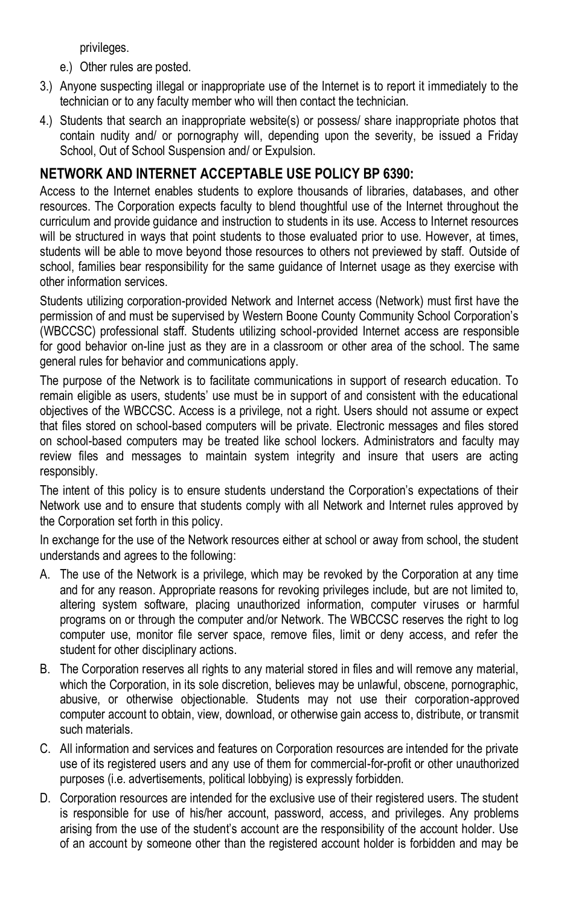privileges.

- e.) Other rules are posted.
- 3.) Anyone suspecting illegal or inappropriate use of the Internet is to report it immediately to the technician or to any faculty member who will then contact the technician.
- 4.) Students that search an inappropriate website(s) or possess/ share inappropriate photos that contain nudity and/ or pornography will, depending upon the severity, be issued a Friday School, Out of School Suspension and/ or Expulsion.

# **NETWORK AND INTERNET ACCEPTABLE USE POLICY BP 6390:**

Access to the Internet enables students to explore thousands of libraries, databases, and other resources. The Corporation expects faculty to blend thoughtful use of the Internet throughout the curriculum and provide guidance and instruction to students in its use. Access to Internet resources will be structured in ways that point students to those evaluated prior to use. However, at times, students will be able to move beyond those resources to others not previewed by staff. Outside of school, families bear responsibility for the same guidance of Internet usage as they exercise with other information services.

Students utilizing corporation-provided Network and Internet access (Network) must first have the permission of and must be supervised by Western Boone County Community School Corporation's (WBCCSC) professional staff. Students utilizing school-provided Internet access are responsible for good behavior on-line just as they are in a classroom or other area of the school. The same general rules for behavior and communications apply.

The purpose of the Network is to facilitate communications in support of research education. To remain eligible as users, students' use must be in support of and consistent with the educational objectives of the WBCCSC. Access is a privilege, not a right. Users should not assume or expect that files stored on school-based computers will be private. Electronic messages and files stored on school-based computers may be treated like school lockers. Administrators and faculty may review files and messages to maintain system integrity and insure that users are acting responsibly.

The intent of this policy is to ensure students understand the Corporation's expectations of their Network use and to ensure that students comply with all Network and Internet rules approved by the Corporation set forth in this policy.

In exchange for the use of the Network resources either at school or away from school, the student understands and agrees to the following:

- A. The use of the Network is a privilege, which may be revoked by the Corporation at any time and for any reason. Appropriate reasons for revoking privileges include, but are not limited to, altering system software, placing unauthorized information, computer viruses or harmful programs on or through the computer and/or Network. The WBCCSC reserves the right to log computer use, monitor file server space, remove files, limit or deny access, and refer the student for other disciplinary actions.
- B. The Corporation reserves all rights to any material stored in files and will remove any material, which the Corporation, in its sole discretion, believes may be unlawful, obscene, pornographic, abusive, or otherwise objectionable. Students may not use their corporation-approved computer account to obtain, view, download, or otherwise gain access to, distribute, or transmit such materials.
- C. All information and services and features on Corporation resources are intended for the private use of its registered users and any use of them for commercial-for-profit or other unauthorized purposes (i.e. advertisements, political lobbying) is expressly forbidden.
- D. Corporation resources are intended for the exclusive use of their registered users. The student is responsible for use of his/her account, password, access, and privileges. Any problems arising from the use of the student's account are the responsibility of the account holder. Use of an account by someone other than the registered account holder is forbidden and may be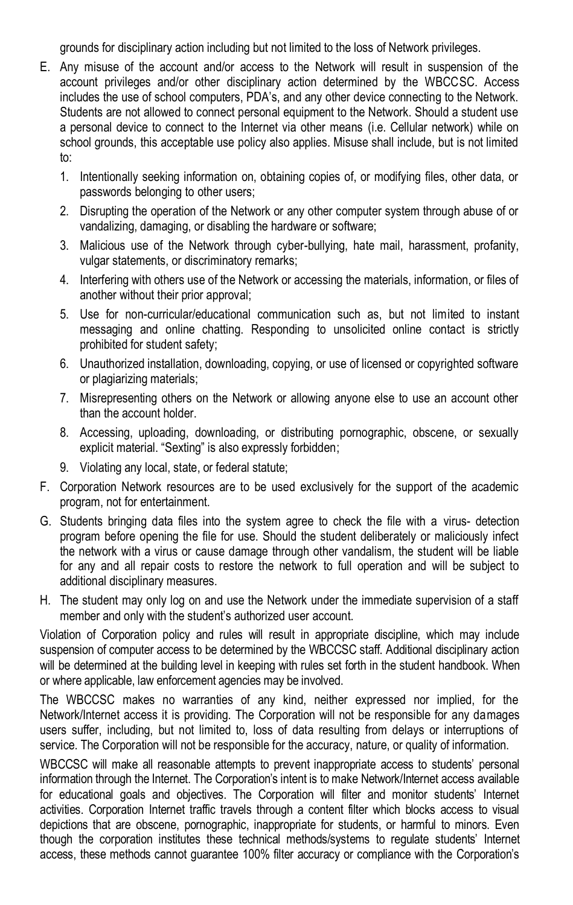grounds for disciplinary action including but not limited to the loss of Network privileges.

- E. Any misuse of the account and/or access to the Network will result in suspension of the account privileges and/or other disciplinary action determined by the WBCCSC. Access includes the use of school computers, PDA's, and any other device connecting to the Network. Students are not allowed to connect personal equipment to the Network. Should a student use a personal device to connect to the Internet via other means (i.e. Cellular network) while on school grounds, this acceptable use policy also applies. Misuse shall include, but is not limited to:
	- 1. Intentionally seeking information on, obtaining copies of, or modifying files, other data, or passwords belonging to other users;
	- 2. Disrupting the operation of the Network or any other computer system through abuse of or vandalizing, damaging, or disabling the hardware or software;
	- 3. Malicious use of the Network through cyber-bullying, hate mail, harassment, profanity, vulgar statements, or discriminatory remarks;
	- 4. Interfering with others use of the Network or accessing the materials, information, or files of another without their prior approval;
	- 5. Use for non-curricular/educational communication such as, but not limited to instant messaging and online chatting. Responding to unsolicited online contact is strictly prohibited for student safety;
	- 6. Unauthorized installation, downloading, copying, or use of licensed or copyrighted software or plagiarizing materials;
	- 7. Misrepresenting others on the Network or allowing anyone else to use an account other than the account holder.
	- 8. Accessing, uploading, downloading, or distributing pornographic, obscene, or sexually explicit material. "Sexting" is also expressly forbidden;
	- 9. Violating any local, state, or federal statute;
- F. Corporation Network resources are to be used exclusively for the support of the academic program, not for entertainment.
- G. Students bringing data files into the system agree to check the file with a virus- detection program before opening the file for use. Should the student deliberately or maliciously infect the network with a virus or cause damage through other vandalism, the student will be liable for any and all repair costs to restore the network to full operation and will be subject to additional disciplinary measures.
- H. The student may only log on and use the Network under the immediate supervision of a staff member and only with the student's authorized user account.

Violation of Corporation policy and rules will result in appropriate discipline, which may include suspension of computer access to be determined by the WBCCSC staff. Additional disciplinary action will be determined at the building level in keeping with rules set forth in the student handbook. When or where applicable, law enforcement agencies may be involved.

The WBCCSC makes no warranties of any kind, neither expressed nor implied, for the Network/Internet access it is providing. The Corporation will not be responsible for any damages users suffer, including, but not limited to, loss of data resulting from delays or interruptions of service. The Corporation will not be responsible for the accuracy, nature, or quality of information.

WBCCSC will make all reasonable attempts to prevent inappropriate access to students' personal information through the Internet. The Corporation's intent is to make Network/Internet access available for educational goals and objectives. The Corporation will filter and monitor students' Internet activities. Corporation Internet traffic travels through a content filter which blocks access to visual depictions that are obscene, pornographic, inappropriate for students, or harmful to minors. Even though the corporation institutes these technical methods/systems to regulate students' Internet access, these methods cannot guarantee 100% filter accuracy or compliance with the Corporation's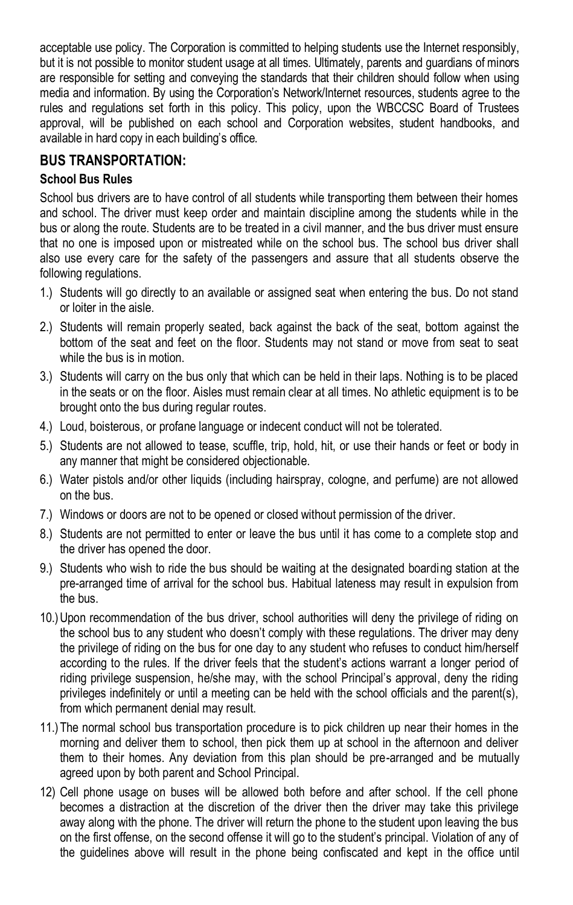acceptable use policy. The Corporation is committed to helping students use the Internet responsibly, but it is not possible to monitor student usage at all times. Ultimately, parents and guardians of minors are responsible for setting and conveying the standards that their children should follow when using media and information. By using the Corporation's Network/Internet resources, students agree to the rules and regulations set forth in this policy. This policy, upon the WBCCSC Board of Trustees approval, will be published on each school and Corporation websites, student handbooks, and available in hard copy in each building's office.

### **BUS TRANSPORTATION:**

#### **School Bus Rules**

School bus drivers are to have control of all students while transporting them between their homes and school. The driver must keep order and maintain discipline among the students while in the bus or along the route. Students are to be treated in a civil manner, and the bus driver must ensure that no one is imposed upon or mistreated while on the school bus. The school bus driver shall also use every care for the safety of the passengers and assure that all students observe the following regulations.

- 1.) Students will go directly to an available or assigned seat when entering the bus. Do not stand or loiter in the aisle.
- 2.) Students will remain properly seated, back against the back of the seat, bottom against the bottom of the seat and feet on the floor. Students may not stand or move from seat to seat while the bus is in motion.
- 3.) Students will carry on the bus only that which can be held in their laps. Nothing is to be placed in the seats or on the floor. Aisles must remain clear at all times. No athletic equipment is to be brought onto the bus during regular routes.
- 4.) Loud, boisterous, or profane language or indecent conduct will not be tolerated.
- 5.) Students are not allowed to tease, scuffle, trip, hold, hit, or use their hands or feet or body in any manner that might be considered objectionable.
- 6.) Water pistols and/or other liquids (including hairspray, cologne, and perfume) are not allowed on the bus.
- 7.) Windows or doors are not to be opened or closed without permission of the driver.
- 8.) Students are not permitted to enter or leave the bus until it has come to a complete stop and the driver has opened the door.
- 9.) Students who wish to ride the bus should be waiting at the designated boarding station at the pre-arranged time of arrival for the school bus. Habitual lateness may result in expulsion from the bus.
- 10.)Upon recommendation of the bus driver, school authorities will deny the privilege of riding on the school bus to any student who doesn't comply with these regulations. The driver may deny the privilege of riding on the bus for one day to any student who refuses to conduct him/herself according to the rules. If the driver feels that the student's actions warrant a longer period of riding privilege suspension, he/she may, with the school Principal's approval, deny the riding privileges indefinitely or until a meeting can be held with the school officials and the parent(s), from which permanent denial may result.
- 11.)The normal school bus transportation procedure is to pick children up near their homes in the morning and deliver them to school, then pick them up at school in the afternoon and deliver them to their homes. Any deviation from this plan should be pre-arranged and be mutually agreed upon by both parent and School Principal.
- 12) Cell phone usage on buses will be allowed both before and after school. If the cell phone becomes a distraction at the discretion of the driver then the driver may take this privilege away along with the phone. The driver will return the phone to the student upon leaving the bus on the first offense, on the second offense it will go to the student's principal. Violation of any of the guidelines above will result in the phone being confiscated and kept in the office until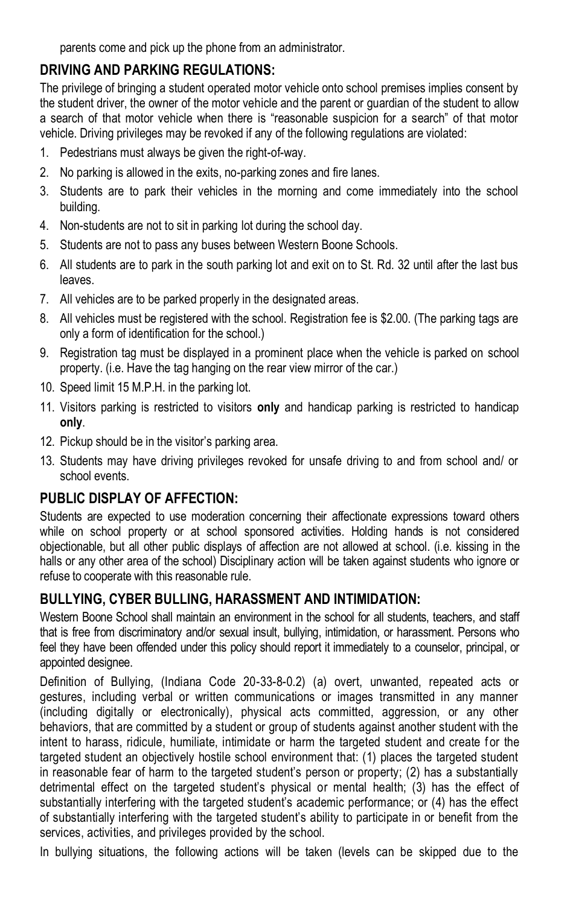parents come and pick up the phone from an administrator.

# **DRIVING AND PARKING REGULATIONS:**

The privilege of bringing a student operated motor vehicle onto school premises implies consent by the student driver, the owner of the motor vehicle and the parent or guardian of the student to allow a search of that motor vehicle when there is "reasonable suspicion for a search" of that motor vehicle. Driving privileges may be revoked if any of the following regulations are violated:

- 1. Pedestrians must always be given the right-of-way.
- 2. No parking is allowed in the exits, no-parking zones and fire lanes.
- 3. Students are to park their vehicles in the morning and come immediately into the school building.
- 4. Non-students are not to sit in parking lot during the school day.
- 5. Students are not to pass any buses between Western Boone Schools.
- 6. All students are to park in the south parking lot and exit on to St. Rd. 32 until after the last bus leaves.
- 7. All vehicles are to be parked properly in the designated areas.
- 8. All vehicles must be registered with the school. Registration fee is \$2.00. (The parking tags are only a form of identification for the school.)
- 9. Registration tag must be displayed in a prominent place when the vehicle is parked on school property. (i.e. Have the tag hanging on the rear view mirror of the car.)
- 10. Speed limit 15 M.P.H. in the parking lot.
- 11. Visitors parking is restricted to visitors **only** and handicap parking is restricted to handicap **only**.
- 12. Pickup should be in the visitor's parking area.
- 13. Students may have driving privileges revoked for unsafe driving to and from school and/ or school events.

# **PUBLIC DISPLAY OF AFFECTION:**

Students are expected to use moderation concerning their affectionate expressions toward others while on school property or at school sponsored activities. Holding hands is not considered objectionable, but all other public displays of affection are not allowed at school. (i.e. kissing in the halls or any other area of the school) Disciplinary action will be taken against students who ignore or refuse to cooperate with this reasonable rule.

# **BULLYING, CYBER BULLING, HARASSMENT AND INTIMIDATION:**

Western Boone School shall maintain an environment in the school for all students, teachers, and staff that is free from discriminatory and/or sexual insult, bullying, intimidation, or harassment. Persons who feel they have been offended under this policy should report it immediately to a counselor, principal, or appointed designee.

Definition of Bullying, (Indiana Code 20-33-8-0.2) (a) overt, unwanted, repeated acts or gestures, including verbal or written communications or images transmitted in any manner (including digitally or electronically), physical acts committed, aggression, or any other behaviors, that are committed by a student or group of students against another student with the intent to harass, ridicule, humiliate, intimidate or harm the targeted student and create for the targeted student an objectively hostile school environment that: (1) places the targeted student in reasonable fear of harm to the targeted student's person or property; (2) has a substantially detrimental effect on the targeted student's physical or mental health; (3) has the effect of substantially interfering with the targeted student's academic performance; or (4) has the effect of substantially interfering with the targeted student's ability to participate in or benefit from the services, activities, and privileges provided by the school.

In bullying situations, the following actions will be taken (levels can be skipped due to the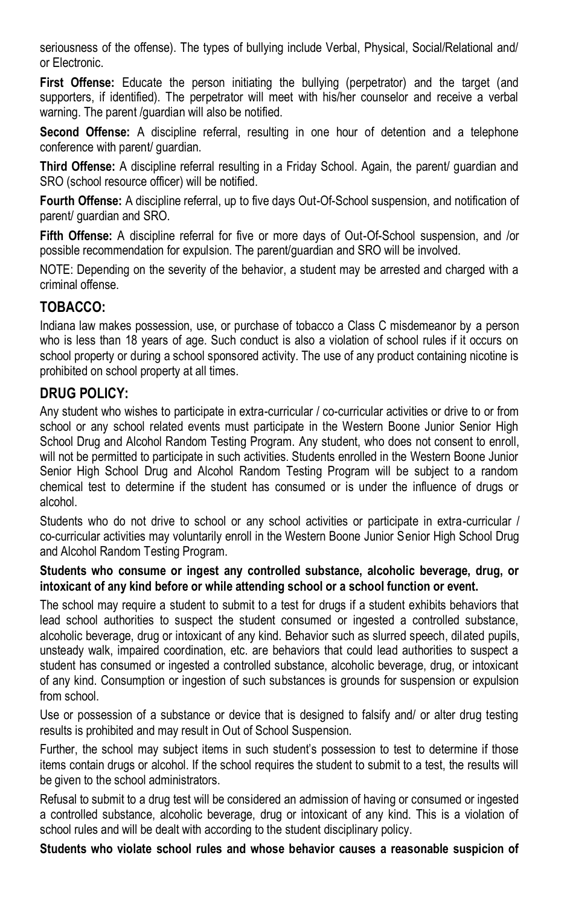seriousness of the offense). The types of bullying include Verbal, Physical, Social/Relational and/ or Electronic.

**First Offense:** Educate the person initiating the bullying (perpetrator) and the target (and supporters, if identified). The perpetrator will meet with his/her counselor and receive a verbal warning. The parent /guardian will also be notified.

**Second Offense:** A discipline referral, resulting in one hour of detention and a telephone conference with parent/ guardian.

**Third Offense:** A discipline referral resulting in a Friday School. Again, the parent/ guardian and SRO (school resource officer) will be notified.

**Fourth Offense:** A discipline referral, up to five days Out-Of-School suspension, and notification of parent/ guardian and SRO.

**Fifth Offense:** A discipline referral for five or more days of Out-Of-School suspension, and /or possible recommendation for expulsion. The parent/guardian and SRO will be involved.

NOTE: Depending on the severity of the behavior, a student may be arrested and charged with a criminal offense.

### **TOBACCO:**

Indiana law makes possession, use, or purchase of tobacco a Class C misdemeanor by a person who is less than 18 years of age. Such conduct is also a violation of school rules if it occurs on school property or during a school sponsored activity. The use of any product containing nicotine is prohibited on school property at all times.

#### **DRUG POLICY:**

Any student who wishes to participate in extra-curricular / co-curricular activities or drive to or from school or any school related events must participate in the Western Boone Junior Senior High School Drug and Alcohol Random Testing Program. Any student, who does not consent to enroll, will not be permitted to participate in such activities. Students enrolled in the Western Boone Junior Senior High School Drug and Alcohol Random Testing Program will be subject to a random chemical test to determine if the student has consumed or is under the influence of drugs or alcohol.

Students who do not drive to school or any school activities or participate in extra-curricular / co-curricular activities may voluntarily enroll in the Western Boone Junior Senior High School Drug and Alcohol Random Testing Program.

#### **Students who consume or ingest any controlled substance, alcoholic beverage, drug, or intoxicant of any kind before or while attending school or a school function or event.**

The school may require a student to submit to a test for drugs if a student exhibits behaviors that lead school authorities to suspect the student consumed or ingested a controlled substance, alcoholic beverage, drug or intoxicant of any kind. Behavior such as slurred speech, dilated pupils, unsteady walk, impaired coordination, etc. are behaviors that could lead authorities to suspect a student has consumed or ingested a controlled substance, alcoholic beverage, drug, or intoxicant of any kind. Consumption or ingestion of such substances is grounds for suspension or expulsion from school.

Use or possession of a substance or device that is designed to falsify and/ or alter drug testing results is prohibited and may result in Out of School Suspension.

Further, the school may subject items in such student's possession to test to determine if those items contain drugs or alcohol. If the school requires the student to submit to a test, the results will be given to the school administrators.

Refusal to submit to a drug test will be considered an admission of having or consumed or ingested a controlled substance, alcoholic beverage, drug or intoxicant of any kind. This is a violation of school rules and will be dealt with according to the student disciplinary policy.

**Students who violate school rules and whose behavior causes a reasonable suspicion of**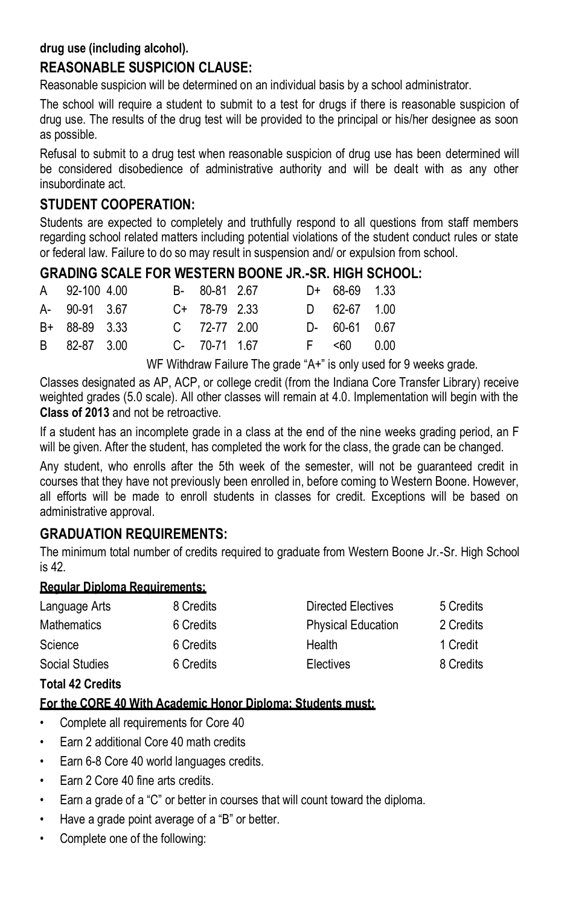#### **drug use (including alcohol).**

## **REASONABLE SUSPICION CLAUSE:**

Reasonable suspicion will be determined on an individual basis by a school administrator.

The school will require a student to submit to a test for drugs if there is reasonable suspicion of drug use. The results of the drug test will be provided to the principal or his/her designee as soon as possible.

Refusal to submit to a drug test when reasonable suspicion of drug use has been determined will be considered disobedience of administrative authority and will be dealt with as any other insubordinate act.

#### **STUDENT COOPERATION:**

Students are expected to completely and truthfully respond to all questions from staff members regarding school related matters including potential violations of the student conduct rules or state or federal law. Failure to do so may result in suspension and/ or expulsion from school.

### **GRADING SCALE FOR WESTERN BOONE JR.-SR. HIGH SCHOOL:**

|  | A 92-100 4.00<br>A- 90-91 3.67<br>B+ 88-89 3.33<br>B 82-87 3.00 |  | B- 80-81 2.67<br>$C+ 78-79 2.33$<br>$C = 72-77$ 2.00<br>C- 70-71 1.67 | $D+ 68-69 1.33$<br>$D = 62-67$ 1.00<br>D- 60-61 0.67<br>$F \leq 60$ 0.00 |
|--|-----------------------------------------------------------------|--|-----------------------------------------------------------------------|--------------------------------------------------------------------------|

WF Withdraw Failure The grade "A+" is only used for 9 weeks grade.

Classes designated as AP, ACP, or college credit (from the Indiana Core Transfer Library) receive weighted grades (5.0 scale). All other classes will remain at 4.0. Implementation will begin with the **Class of 2013** and not be retroactive.

If a student has an incomplete grade in a class at the end of the nine weeks grading period, an F will be given. After the student, has completed the work for the class, the grade can be changed.

Any student, who enrolls after the 5th week of the semester, will not be guaranteed credit in courses that they have not previously been enrolled in, before coming to Western Boone. However, all efforts will be made to enroll students in classes for credit. Exceptions will be based on administrative approval.

#### **GRADUATION REQUIREMENTS:**

The minimum total number of credits required to graduate from Western Boone Jr.-Sr. High School is 42.

#### **Regular Diploma Requirements:**

| Language Arts  | 8 Credits | Directed Electives        | 5 Credits |
|----------------|-----------|---------------------------|-----------|
| Mathematics    | 6 Credits | <b>Physical Education</b> | 2 Credits |
| Science        | 6 Credits | Health                    | 1 Credit  |
| Social Studies | 6 Credits | Electives                 | 8 Credits |

#### **Total 42 Credits**

#### **For the CORE 40 With Academic Honor Diploma: Students must:**

- Complete all requirements for Core 40
- Earn 2 additional Core 40 math credits
- Earn 6-8 Core 40 world languages credits.
- Earn 2 Core 40 fine arts credits.
- Earn a grade of a "C" or better in courses that will count toward the diploma.
- Have a grade point average of a "B" or better.
- Complete one of the following: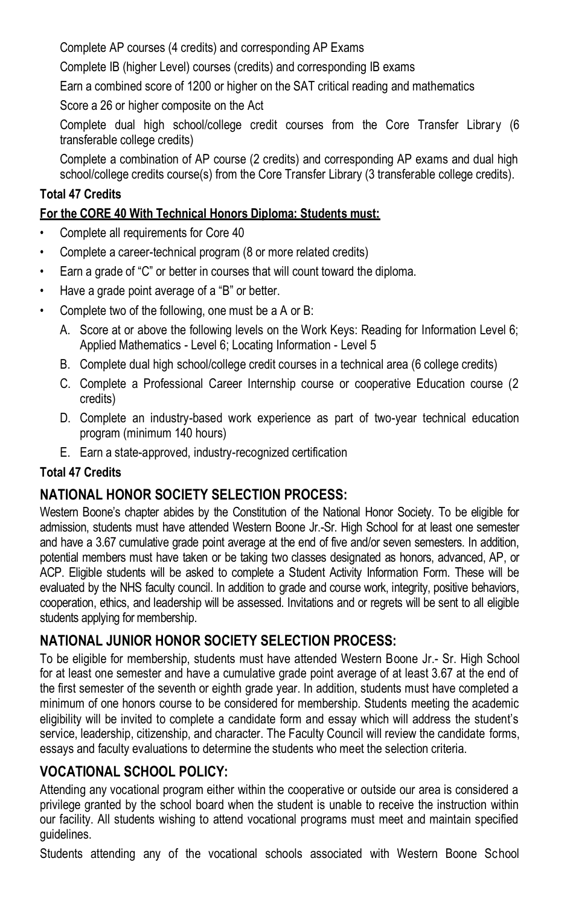Complete AP courses (4 credits) and corresponding AP Exams

Complete IB (higher Level) courses (credits) and corresponding IB exams

Earn a combined score of 1200 or higher on the SAT critical reading and mathematics

Score a 26 or higher composite on the Act

Complete dual high school/college credit courses from the Core Transfer Library (6 transferable college credits)

Complete a combination of AP course (2 credits) and corresponding AP exams and dual high school/college credits course(s) from the Core Transfer Library (3 transferable college credits).

#### **Total 47 Credits**

#### **For the CORE 40 With Technical Honors Diploma: Students must:**

- Complete all requirements for Core 40
- Complete a career-technical program (8 or more related credits)
- Earn a grade of "C" or better in courses that will count toward the diploma.
- Have a grade point average of a "B" or better.
- Complete two of the following, one must be a A or B:
	- A. Score at or above the following levels on the Work Keys: Reading for Information Level 6; Applied Mathematics - Level 6; Locating Information - Level 5
	- B. Complete dual high school/college credit courses in a technical area (6 college credits)
	- C. Complete a Professional Career Internship course or cooperative Education course (2 credits)
	- D. Complete an industry-based work experience as part of two-year technical education program (minimum 140 hours)
	- E. Earn a state-approved, industry-recognized certification

#### **Total 47 Credits**

# **NATIONAL HONOR SOCIETY SELECTION PROCESS:**

Western Boone's chapter abides by the Constitution of the National Honor Society. To be eligible for admission, students must have attended Western Boone Jr.-Sr. High School for at least one semester and have a 3.67 cumulative grade point average at the end of five and/or seven semesters. In addition, potential members must have taken or be taking two classes designated as honors, advanced, AP, or ACP. Eligible students will be asked to complete a Student Activity Information Form. These will be evaluated by the NHS faculty council. In addition to grade and course work, integrity, positive behaviors, cooperation, ethics, and leadership will be assessed. Invitations and or regrets will be sent to all eligible students applying for membership.

# **NATIONAL JUNIOR HONOR SOCIETY SELECTION PROCESS:**

To be eligible for membership, students must have attended Western Boone Jr.- Sr. High School for at least one semester and have a cumulative grade point average of at least 3.67 at the end of the first semester of the seventh or eighth grade year. In addition, students must have completed a minimum of one honors course to be considered for membership. Students meeting the academic eligibility will be invited to complete a candidate form and essay which will address the student's service, leadership, citizenship, and character. The Faculty Council will review the candidate forms, essays and faculty evaluations to determine the students who meet the selection criteria.

# **VOCATIONAL SCHOOL POLICY:**

Attending any vocational program either within the cooperative or outside our area is considered a privilege granted by the school board when the student is unable to receive the instruction within our facility. All students wishing to attend vocational programs must meet and maintain specified guidelines.

Students attending any of the vocational schools associated with Western Boone School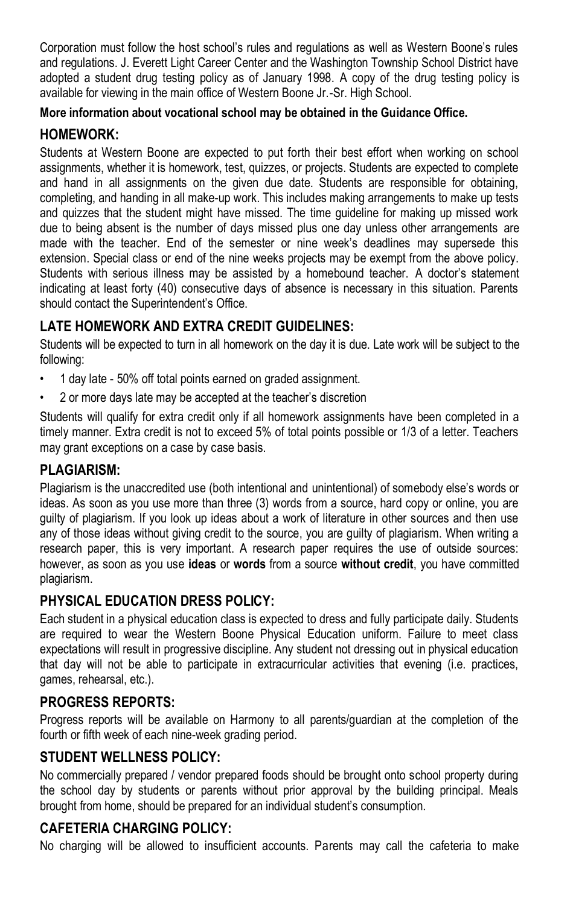Corporation must follow the host school's rules and regulations as well as Western Boone's rules and regulations. J. Everett Light Career Center and the Washington Township School District have adopted a student drug testing policy as of January 1998. A copy of the drug testing policy is available for viewing in the main office of Western Boone Jr.-Sr. High School.

#### **More information about vocational school may be obtained in the Guidance Office.**

# **HOMEWORK:**

Students at Western Boone are expected to put forth their best effort when working on school assignments, whether it is homework, test, quizzes, or projects. Students are expected to complete and hand in all assignments on the given due date. Students are responsible for obtaining, completing, and handing in all make-up work. This includes making arrangements to make up tests and quizzes that the student might have missed. The time guideline for making up missed work due to being absent is the number of days missed plus one day unless other arrangements are made with the teacher. End of the semester or nine week's deadlines may supersede this extension. Special class or end of the nine weeks projects may be exempt from the above policy. Students with serious illness may be assisted by a homebound teacher. A doctor's statement indicating at least forty (40) consecutive days of absence is necessary in this situation. Parents should contact the Superintendent's Office.

# **LATE HOMEWORK AND EXTRA CREDIT GUIDELINES:**

Students will be expected to turn in all homework on the day it is due. Late work will be subject to the following:

- 1 day late 50% off total points earned on graded assignment.
- 2 or more days late may be accepted at the teacher's discretion

Students will qualify for extra credit only if all homework assignments have been completed in a timely manner. Extra credit is not to exceed 5% of total points possible or 1/3 of a letter. Teachers may grant exceptions on a case by case basis.

# **PLAGIARISM:**

Plagiarism is the unaccredited use (both intentional and unintentional) of somebody else's words or ideas. As soon as you use more than three (3) words from a source, hard copy or online, you are guilty of plagiarism. If you look up ideas about a work of literature in other sources and then use any of those ideas without giving credit to the source, you are guilty of plagiarism. When writing a research paper, this is very important. A research paper requires the use of outside sources: however, as soon as you use **ideas** or **words** from a source **without credit**, you have committed plagiarism.

# **PHYSICAL EDUCATION DRESS POLICY:**

Each student in a physical education class is expected to dress and fully participate daily. Students are required to wear the Western Boone Physical Education uniform. Failure to meet class expectations will result in progressive discipline. Any student not dressing out in physical education that day will not be able to participate in extracurricular activities that evening (i.e. practices, games, rehearsal, etc.).

# **PROGRESS REPORTS:**

Progress reports will be available on Harmony to all parents/guardian at the completion of the fourth or fifth week of each nine-week grading period.

# **STUDENT WELLNESS POLICY:**

No commercially prepared / vendor prepared foods should be brought onto school property during the school day by students or parents without prior approval by the building principal. Meals brought from home, should be prepared for an individual student's consumption.

# **CAFETERIA CHARGING POLICY:**

No charging will be allowed to insufficient accounts. Parents may call the cafeteria to make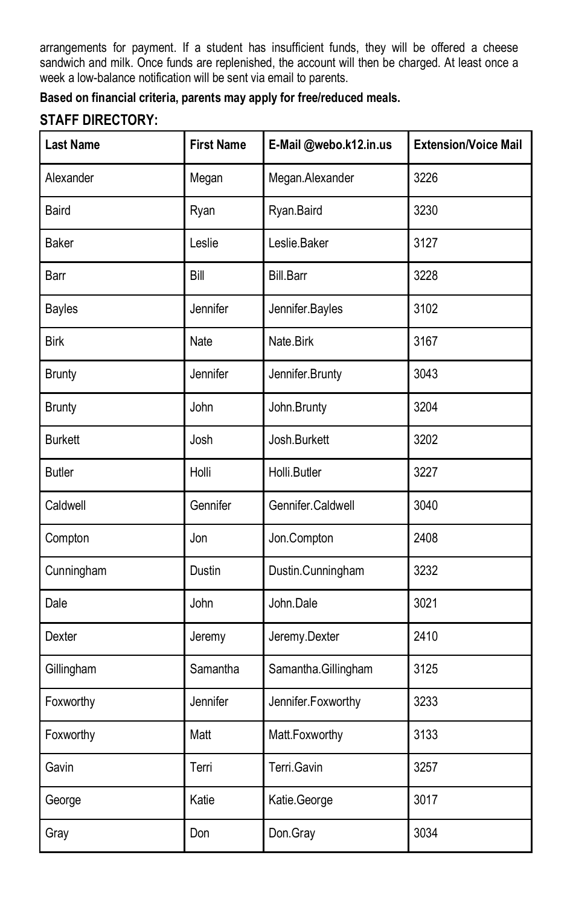arrangements for payment. If a student has insufficient funds, they will be offered a cheese sandwich and milk. Once funds are replenished, the account will then be charged. At least once a week a low-balance notification will be sent via email to parents.

**Based on financial criteria, parents may apply for free/reduced meals.**

#### **STAFF DIRECTORY:**

| <b>Last Name</b> | <b>First Name</b> | E-Mail @webo.k12.in.us | <b>Extension/Voice Mail</b> |
|------------------|-------------------|------------------------|-----------------------------|
| Alexander        | Megan             | Megan.Alexander        | 3226                        |
| <b>Baird</b>     | Ryan              | Ryan.Baird             | 3230                        |
| <b>Baker</b>     | Leslie            | Leslie.Baker           | 3127                        |
| Barr             | Bill              | <b>Bill.Barr</b>       | 3228                        |
| <b>Bayles</b>    | Jennifer          | Jennifer.Bayles        | 3102                        |
| <b>Birk</b>      | Nate              | Nate.Birk              | 3167                        |
| <b>Brunty</b>    | Jennifer          | Jennifer.Brunty        | 3043                        |
| <b>Brunty</b>    | John              | John.Brunty            | 3204                        |
| <b>Burkett</b>   | Josh              | Josh.Burkett           | 3202                        |
| <b>Butler</b>    | Holli             | Holli.Butler           | 3227                        |
| Caldwell         | Gennifer          | Gennifer.Caldwell      | 3040                        |
| Compton          | Jon               | Jon.Compton            | 2408                        |
| Cunningham       | Dustin            | Dustin.Cunningham      | 3232                        |
| Dale             | John              | John.Dale              | 3021                        |
| Dexter           | Jeremy            | Jeremy.Dexter          | 2410                        |
| Gillingham       | Samantha          | Samantha.Gillingham    | 3125                        |
| Foxworthy        | Jennifer          | Jennifer.Foxworthy     | 3233                        |
| Foxworthy        | Matt              | Matt.Foxworthy         | 3133                        |
| Gavin            | Terri             | Terri.Gavin            | 3257                        |
| George           | Katie             | Katie.George           | 3017                        |
| Gray             | Don               | Don.Gray               | 3034                        |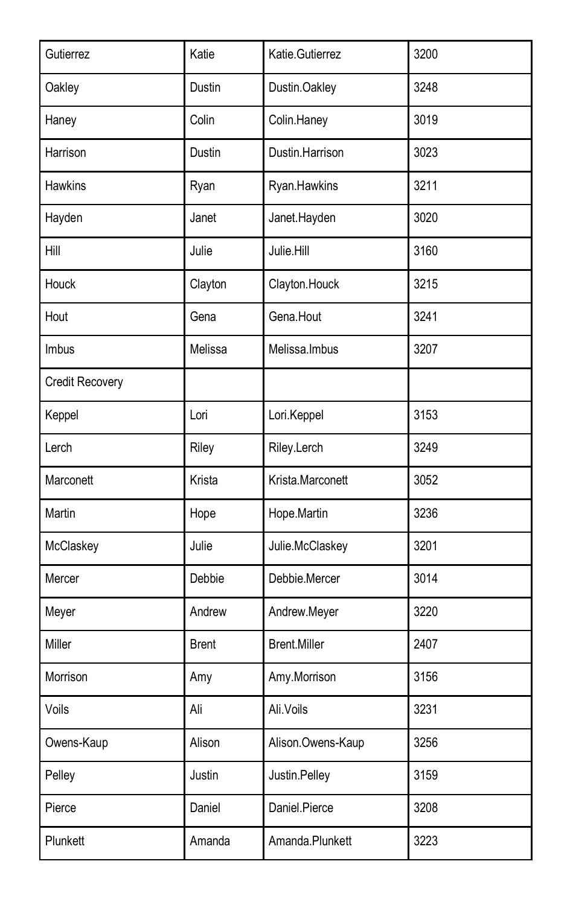| Gutierrez       | Katie        | Katie.Gutierrez     | 3200 |
|-----------------|--------------|---------------------|------|
| Oakley          | Dustin       | Dustin.Oakley       | 3248 |
| Haney           | Colin        | Colin.Haney         | 3019 |
| Harrison        | Dustin       | Dustin.Harrison     | 3023 |
| <b>Hawkins</b>  | Ryan         | Ryan.Hawkins        | 3211 |
| Hayden          | Janet        | Janet.Hayden        | 3020 |
| Hill            | Julie        | Julie.Hill          | 3160 |
| Houck           | Clayton      | Clayton.Houck       | 3215 |
| Hout            | Gena         | Gena.Hout           | 3241 |
| <b>Imbus</b>    | Melissa      | Melissa.Imbus       | 3207 |
| Credit Recovery |              |                     |      |
| Keppel          | Lori         | Lori.Keppel         | 3153 |
| Lerch           | Riley        | Riley.Lerch         | 3249 |
| Marconett       | Krista       | Krista.Marconett    | 3052 |
| Martin          | Hope         | Hope.Martin         | 3236 |
| McClaskey       | Julie        | Julie.McClaskey     | 3201 |
| Mercer          | Debbie       | Debbie.Mercer       | 3014 |
| Meyer           | Andrew       | Andrew.Meyer        | 3220 |
| Miller          | <b>Brent</b> | <b>Brent.Miller</b> | 2407 |
| Morrison        | Amy          | Amy.Morrison        | 3156 |
| Voils           | Ali          | Ali.Voils           | 3231 |
| Owens-Kaup      | Alison       | Alison.Owens-Kaup   | 3256 |
| Pelley          | Justin       | Justin.Pelley       | 3159 |
| Pierce          | Daniel       | Daniel.Pierce       | 3208 |
| Plunkett        | Amanda       | Amanda.Plunkett     | 3223 |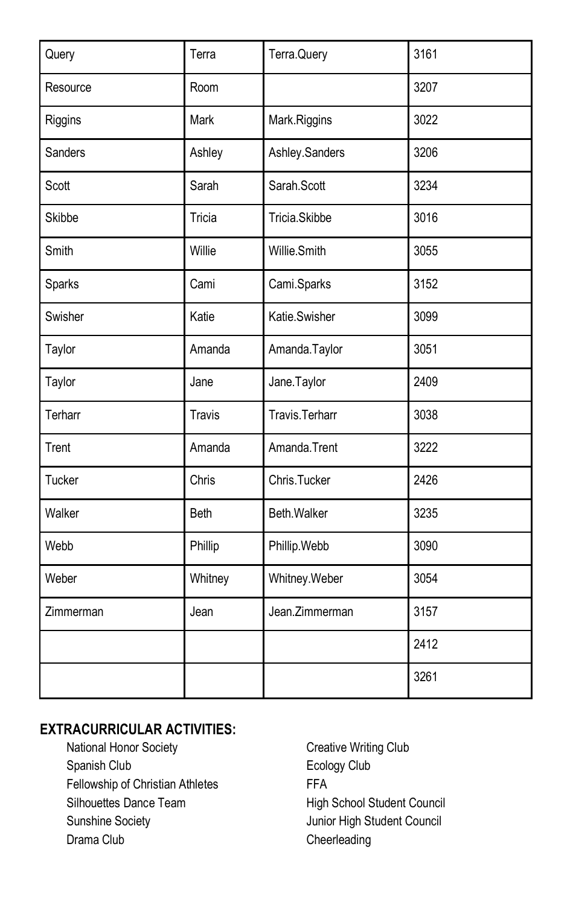| Query     | Terra         | Terra.Query    | 3161 |
|-----------|---------------|----------------|------|
| Resource  | Room          |                | 3207 |
| Riggins   | Mark          | Mark.Riggins   | 3022 |
| Sanders   | Ashley        | Ashley.Sanders | 3206 |
| Scott     | Sarah         | Sarah.Scott    | 3234 |
| Skibbe    | Tricia        | Tricia.Skibbe  | 3016 |
| Smith     | Willie        | Willie.Smith   | 3055 |
| Sparks    | Cami          | Cami.Sparks    | 3152 |
| Swisher   | Katie         | Katie.Swisher  | 3099 |
| Taylor    | Amanda        | Amanda.Taylor  | 3051 |
| Taylor    | Jane          | Jane.Taylor    | 2409 |
| Terharr   | <b>Travis</b> | Travis.Terharr | 3038 |
| Trent     | Amanda        | Amanda.Trent   | 3222 |
| Tucker    | Chris         | Chris.Tucker   | 2426 |
| Walker    | Beth          | Beth.Walker    | 3235 |
| Webb      | Phillip       | Phillip.Webb   | 3090 |
| Weber     | Whitney       | Whitney.Weber  | 3054 |
| Zimmerman | Jean          | Jean.Zimmerman | 3157 |
|           |               |                | 2412 |
|           |               |                | 3261 |

# **EXTRACURRICULAR ACTIVITIES:**

National Honor Society **Creative Writing Club** Spanish Club **Ecology Club** Fellowship of Christian Athletes FFA Silhouettes Dance Team High School Student Council Sunshine Society **Matter Student Council** Junior High Student Council Drama Club Cheerleading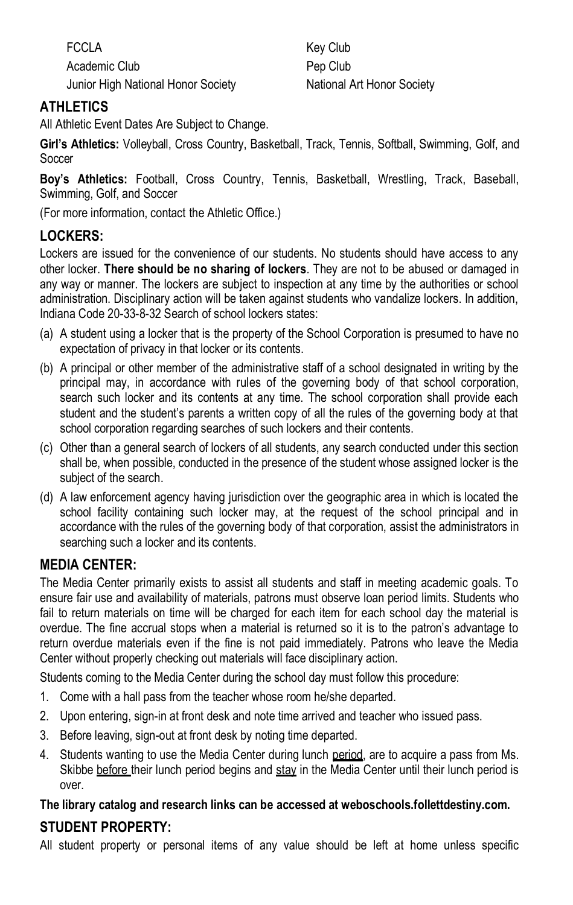FCCLA Key Club Academic Club **Pep Club** Pep Club Junior High National Honor Society National Art Honor Society

# **ATHLETICS**

All Athletic Event Dates Are Subject to Change.

**Girl's Athletics:** Volleyball, Cross Country, Basketball, Track, Tennis, Softball, Swimming, Golf, and **Soccer** 

**Boy's Athletics:** Football, Cross Country, Tennis, Basketball, Wrestling, Track, Baseball, Swimming, Golf, and Soccer

(For more information, contact the Athletic Office.)

### **LOCKERS:**

Lockers are issued for the convenience of our students. No students should have access to any other locker. **There should be no sharing of lockers**. They are not to be abused or damaged in any way or manner. The lockers are subject to inspection at any time by the authorities or school administration. Disciplinary action will be taken against students who vandalize lockers. In addition, Indiana Code 20-33-8-32 Search of school lockers states:

- (a) A student using a locker that is the property of the School Corporation is presumed to have no expectation of privacy in that locker or its contents.
- (b) A principal or other member of the administrative staff of a school designated in writing by the principal may, in accordance with rules of the governing body of that school corporation, search such locker and its contents at any time. The school corporation shall provide each student and the student's parents a written copy of all the rules of the governing body at that school corporation regarding searches of such lockers and their contents.
- (c) Other than a general search of lockers of all students, any search conducted under this section shall be, when possible, conducted in the presence of the student whose assigned locker is the subject of the search.
- (d) A law enforcement agency having jurisdiction over the geographic area in which is located the school facility containing such locker may, at the request of the school principal and in accordance with the rules of the governing body of that corporation, assist the administrators in searching such a locker and its contents.

#### **MEDIA CENTER:**

The Media Center primarily exists to assist all students and staff in meeting academic goals. To ensure fair use and availability of materials, patrons must observe loan period limits. Students who fail to return materials on time will be charged for each item for each school day the material is overdue. The fine accrual stops when a material is returned so it is to the patron's advantage to return overdue materials even if the fine is not paid immediately. Patrons who leave the Media Center without properly checking out materials will face disciplinary action.

Students coming to the Media Center during the school day must follow this procedure:

- 1. Come with a hall pass from the teacher whose room he/she departed.
- 2. Upon entering, sign-in at front desk and note time arrived and teacher who issued pass.
- 3. Before leaving, sign-out at front desk by noting time departed.
- 4. Students wanting to use the Media Center during lunch period, are to acquire a pass from Ms. Skibbe before their lunch period begins and stay in the Media Center until their lunch period is over.

# **The library catalog and research links can be accessed at weboschools.follettdestiny.com.**

# **STUDENT PROPERTY:**

All student property or personal items of any value should be left at home unless specific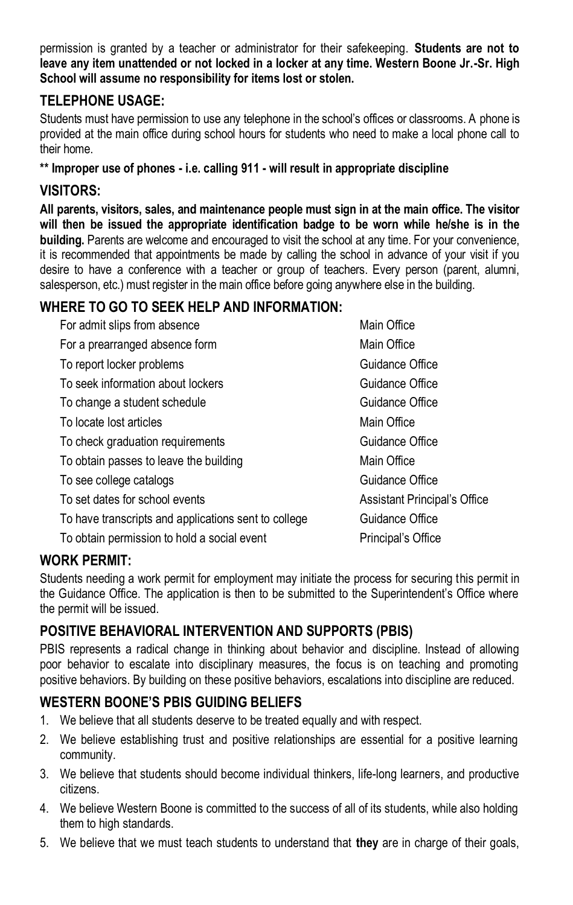permission is granted by a teacher or administrator for their safekeeping. **Students are not to leave any item unattended or not locked in a locker at any time. Western Boone Jr.-Sr. High School will assume no responsibility for items lost or stolen.**

# **TELEPHONE USAGE:**

Students must have permission to use any telephone in the school's offices or classrooms. A phone is provided at the main office during school hours for students who need to make a local phone call to their home.

#### **\*\* Improper use of phones - i.e. calling 911 - will result in appropriate discipline**

#### **VISITORS:**

**All parents, visitors, sales, and maintenance people must sign in at the main office. The visitor will then be issued the appropriate identification badge to be worn while he/she is in the building.** Parents are welcome and encouraged to visit the school at any time. For your convenience, it is recommended that appointments be made by calling the school in advance of your visit if you desire to have a conference with a teacher or group of teachers. Every person (parent, alumni, salesperson, etc.) must register in the main office before going anywhere else in the building.

# **WHERE TO GO TO SEEK HELP AND INFORMATION:**

| Main Office                  |
|------------------------------|
| Main Office                  |
| Guidance Office              |
| Guidance Office              |
| Guidance Office              |
| Main Office                  |
| Guidance Office              |
| Main Office                  |
| Guidance Office              |
| Assistant Principal's Office |
| Guidance Office              |
| Principal's Office           |
|                              |

# **WORK PERMIT:**

Students needing a work permit for employment may initiate the process for securing this permit in the Guidance Office. The application is then to be submitted to the Superintendent's Office where the permit will be issued.

# **POSITIVE BEHAVIORAL INTERVENTION AND SUPPORTS (PBIS)**

PBIS represents a radical change in thinking about behavior and discipline. Instead of allowing poor behavior to escalate into disciplinary measures, the focus is on teaching and promoting positive behaviors. By building on these positive behaviors, escalations into discipline are reduced.

# **WESTERN BOONE'S PBIS GUIDING BELIEFS**

- 1. We believe that all students deserve to be treated equally and with respect.
- 2. We believe establishing trust and positive relationships are essential for a positive learning community.
- 3. We believe that students should become individual thinkers, life-long learners, and productive citizens.
- 4. We believe Western Boone is committed to the success of all of its students, while also holding them to high standards.
- 5. We believe that we must teach students to understand that **they** are in charge of their goals,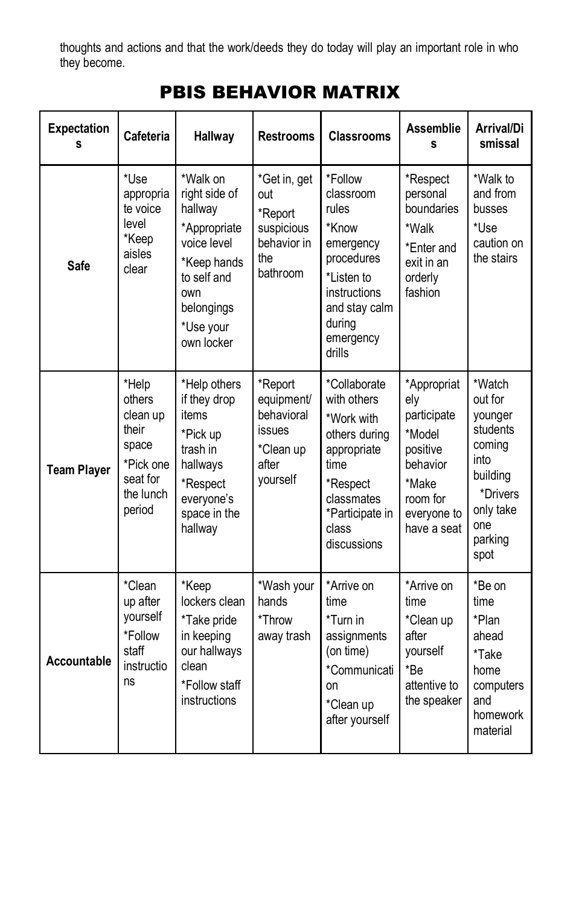thoughts and actions and that the work/deeds they do today will play an important role in who they become.

# PBIS BEHAVIOR MATRIX

| <b>Expectation</b><br>s | Cafeteria                                                                                     | <b>Hallway</b>                                                                                                                                    | <b>Restrooms</b>                                                                | <b>Classrooms</b>                                                                                                                                      | <b>Assemblie</b><br>s                                                                                                  | Arrival/Di<br>smissal                                                                                                     |
|-------------------------|-----------------------------------------------------------------------------------------------|---------------------------------------------------------------------------------------------------------------------------------------------------|---------------------------------------------------------------------------------|--------------------------------------------------------------------------------------------------------------------------------------------------------|------------------------------------------------------------------------------------------------------------------------|---------------------------------------------------------------------------------------------------------------------------|
| Safe                    | *Use<br>appropria<br>te voice<br>level<br>*Keep<br>aisles<br>clear                            | *Walk on<br>right side of<br>hallway<br>*Appropriate<br>voice level<br>*Keep hands<br>to self and<br>own<br>belongings<br>*Use your<br>own locker | *Get in, get<br>out<br>*Report<br>suspicious<br>behavior in<br>the<br>bathroom  | *Follow<br>classroom<br>rules<br>*Know<br>emergency<br>procedures<br>*Listen to<br>instructions<br>and stay calm<br>during<br>emergency<br>drills      | *Respect<br>personal<br>boundaries<br>*Walk<br>*Enter and<br>exit in an<br>orderly<br>fashion                          | *Walk to<br>and from<br>busses<br>*Use<br>caution on<br>the stairs                                                        |
| <b>Team Player</b>      | *Help<br>others<br>clean up<br>their<br>space<br>*Pick one<br>seat for<br>the lunch<br>period | *Help others<br>if they drop<br>items<br>*Pick up<br>trash in<br>hallways<br>*Respect<br>everyone's<br>space in the<br>hallway                    | *Report<br>equipment/<br>behavioral<br>issues<br>*Clean up<br>after<br>vourself | *Collaborate<br>with others<br>*Work with<br>others during<br>appropriate<br>time<br>*Respect<br>classmates<br>*Participate in<br>class<br>discussions | *Appropriat<br>ely<br>participate<br>*Model<br>positive<br>behavior<br>*Make<br>room for<br>everyone to<br>have a seat | *Watch<br>out for<br>younger<br>students<br>comina<br>into<br>building<br>*Drivers<br>only take<br>one<br>parking<br>spot |
| Accountable             | *Clean<br>up after<br>yourself<br>*Follow<br>staff<br>instructio<br>ns                        | *Keep<br>lockers clean<br>*Take pride<br>in keeping<br>our hallways<br>clean<br>*Follow staff<br>instructions                                     | *Wash your<br>hands<br>*Throw<br>away trash                                     | *Arrive on<br>time<br>*Turn in<br>assignments<br>(on time)<br>*Communicati<br>on<br>*Clean up<br>after yourself                                        | *Arrive on<br>time<br>*Clean up<br>after<br>yourself<br>*Be<br>attentive to<br>the speaker                             | *Be on<br>time<br>*Plan<br>ahead<br>*Take<br>home<br>computers<br>and<br>homework<br>material                             |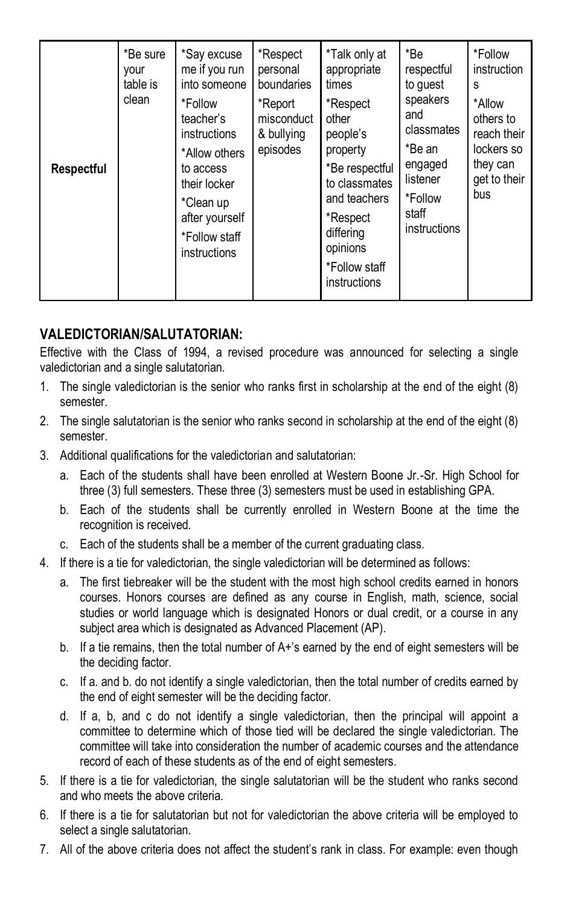| Respectful | *Be sure<br>your<br>table is<br>clean | *Say excuse<br>me if you run<br>into someone<br>*Follow<br>teacher's<br>instructions<br>*Allow others<br>to access<br>their locker<br>*Clean up<br>after yourself<br>*Follow staff<br>instructions | *Respect<br>personal<br>boundaries<br>*Report<br>misconduct<br>& bullying<br>episodes | *Talk only at<br>appropriate<br>times<br>*Respect<br>other<br>people's<br>property<br>*Be respectful<br>to classmates<br>and teachers<br>*Respect<br>differing<br>opinions<br>*Follow staff<br>instructions | *Be<br>respectful<br>to quest<br>speakers<br>and<br>classmates<br>*Be an<br>engaged<br>listener<br>*Follow<br>staff<br>instructions | *Follow<br>instruction<br>s<br>*Allow<br>others to<br>reach their<br>lockers so<br>they can<br>get to their<br>bus |
|------------|---------------------------------------|----------------------------------------------------------------------------------------------------------------------------------------------------------------------------------------------------|---------------------------------------------------------------------------------------|-------------------------------------------------------------------------------------------------------------------------------------------------------------------------------------------------------------|-------------------------------------------------------------------------------------------------------------------------------------|--------------------------------------------------------------------------------------------------------------------|
|------------|---------------------------------------|----------------------------------------------------------------------------------------------------------------------------------------------------------------------------------------------------|---------------------------------------------------------------------------------------|-------------------------------------------------------------------------------------------------------------------------------------------------------------------------------------------------------------|-------------------------------------------------------------------------------------------------------------------------------------|--------------------------------------------------------------------------------------------------------------------|

### **VALEDICTORIAN/SALUTATORIAN:**

Effective with the Class of 1994, a revised procedure was announced for selecting a single valedictorian and a single salutatorian.

- 1. The single valedictorian is the senior who ranks first in scholarship at the end of the eight (8) semester.
- 2. The single salutatorian is the senior who ranks second in scholarship at the end of the eight (8) semester.
- 3. Additional qualifications for the valedictorian and salutatorian:
	- a. Each of the students shall have been enrolled at Western Boone Jr.-Sr. High School for three (3) full semesters. These three (3) semesters must be used in establishing GPA.
	- b. Each of the students shall be currently enrolled in Western Boone at the time the recognition is received.
	- c. Each of the students shall be a member of the current graduating class.
- 4. If there is a tie for valedictorian, the single valedictorian will be determined as follows:
	- a. The first tiebreaker will be the student with the most high school credits earned in honors courses. Honors courses are defined as any course in English, math, science, social studies or world language which is designated Honors or dual credit, or a course in any subject area which is designated as Advanced Placement (AP).
	- b. If a tie remains, then the total number of A+'s earned by the end of eight semesters will be the deciding factor.
	- c. If a. and b. do not identify a single valedictorian, then the total number of credits earned by the end of eight semester will be the deciding factor.
	- d. If a, b, and c do not identify a single valedictorian, then the principal will appoint a committee to determine which of those tied will be declared the single valedictorian. The committee will take into consideration the number of academic courses and the attendance record of each of these students as of the end of eight semesters.
- 5. If there is a tie for valedictorian, the single salutatorian will be the student who ranks second and who meets the above criteria.
- 6. If there is a tie for salutatorian but not for valedictorian the above criteria will be employed to select a single salutatorian.
- 7. All of the above criteria does not affect the student's rank in class. For example: even though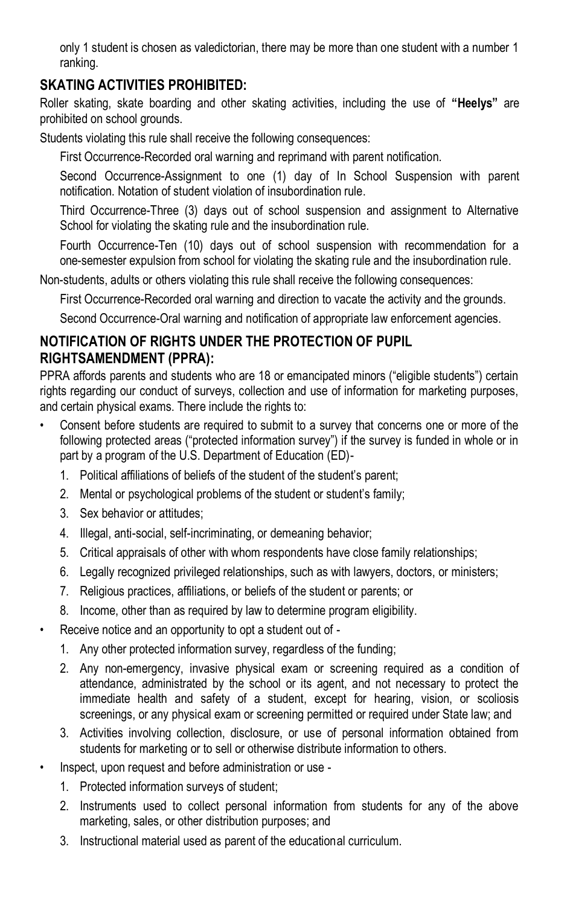only 1 student is chosen as valedictorian, there may be more than one student with a number 1 ranking.

# **SKATING ACTIVITIES PROHIBITED:**

Roller skating, skate boarding and other skating activities, including the use of **"Heelys"** are prohibited on school grounds.

Students violating this rule shall receive the following consequences:

First Occurrence-Recorded oral warning and reprimand with parent notification.

Second Occurrence-Assignment to one (1) day of In School Suspension with parent notification. Notation of student violation of insubordination rule.

Third Occurrence-Three (3) days out of school suspension and assignment to Alternative School for violating the skating rule and the insubordination rule.

Fourth Occurrence-Ten (10) days out of school suspension with recommendation for a one-semester expulsion from school for violating the skating rule and the insubordination rule.

Non-students, adults or others violating this rule shall receive the following consequences:

First Occurrence-Recorded oral warning and direction to vacate the activity and the grounds.

Second Occurrence-Oral warning and notification of appropriate law enforcement agencies.

# **NOTIFICATION OF RIGHTS UNDER THE PROTECTION OF PUPIL RIGHTSAMENDMENT (PPRA):**

PPRA affords parents and students who are 18 or emancipated minors ("eligible students") certain rights regarding our conduct of surveys, collection and use of information for marketing purposes, and certain physical exams. There include the rights to:

- Consent before students are required to submit to a survey that concerns one or more of the following protected areas ("protected information survey") if the survey is funded in whole or in part by a program of the U.S. Department of Education (ED)-
	- 1. Political affiliations of beliefs of the student of the student's parent;
	- 2. Mental or psychological problems of the student or student's family;
	- 3. Sex behavior or attitudes;
	- 4. Illegal, anti-social, self-incriminating, or demeaning behavior;
	- 5. Critical appraisals of other with whom respondents have close family relationships;
	- 6. Legally recognized privileged relationships, such as with lawyers, doctors, or ministers;
	- 7. Religious practices, affiliations, or beliefs of the student or parents; or
	- 8. Income, other than as required by law to determine program eligibility.
- Receive notice and an opportunity to opt a student out of
	- 1. Any other protected information survey, regardless of the funding;
	- 2. Any non-emergency, invasive physical exam or screening required as a condition of attendance, administrated by the school or its agent, and not necessary to protect the immediate health and safety of a student, except for hearing, vision, or scoliosis screenings, or any physical exam or screening permitted or required under State law; and
	- 3. Activities involving collection, disclosure, or use of personal information obtained from students for marketing or to sell or otherwise distribute information to others.
- Inspect, upon request and before administration or use
	- 1. Protected information surveys of student;
	- 2. Instruments used to collect personal information from students for any of the above marketing, sales, or other distribution purposes; and
	- 3. Instructional material used as parent of the educational curriculum.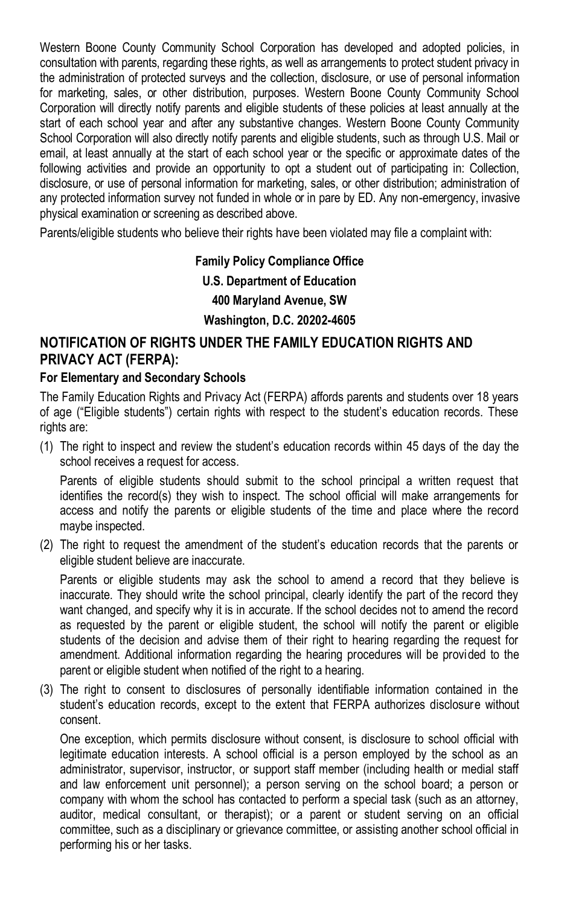Western Boone County Community School Corporation has developed and adopted policies, in consultation with parents, regarding these rights, as well as arrangements to protect student privacy in the administration of protected surveys and the collection, disclosure, or use of personal information for marketing, sales, or other distribution, purposes. Western Boone County Community School Corporation will directly notify parents and eligible students of these policies at least annually at the start of each school year and after any substantive changes. Western Boone County Community School Corporation will also directly notify parents and eligible students, such as through U.S. Mail or email, at least annually at the start of each school year or the specific or approximate dates of the following activities and provide an opportunity to opt a student out of participating in: Collection, disclosure, or use of personal information for marketing, sales, or other distribution; administration of any protected information survey not funded in whole or in pare by ED. Any non-emergency, invasive physical examination or screening as described above.

Parents/eligible students who believe their rights have been violated may file a complaint with:

# **Family Policy Compliance Office U.S. Department of Education 400 Maryland Avenue, SW Washington, D.C. 20202-4605**

# **NOTIFICATION OF RIGHTS UNDER THE FAMILY EDUCATION RIGHTS AND PRIVACY ACT (FERPA):**

#### **For Elementary and Secondary Schools**

The Family Education Rights and Privacy Act (FERPA) affords parents and students over 18 years of age ("Eligible students") certain rights with respect to the student's education records. These rights are:

(1) The right to inspect and review the student's education records within 45 days of the day the school receives a request for access.

Parents of eligible students should submit to the school principal a written request that identifies the record(s) they wish to inspect. The school official will make arrangements for access and notify the parents or eligible students of the time and place where the record maybe inspected.

(2) The right to request the amendment of the student's education records that the parents or eligible student believe are inaccurate.

Parents or eligible students may ask the school to amend a record that they believe is inaccurate. They should write the school principal, clearly identify the part of the record they want changed, and specify why it is in accurate. If the school decides not to amend the record as requested by the parent or eligible student, the school will notify the parent or eligible students of the decision and advise them of their right to hearing regarding the request for amendment. Additional information regarding the hearing procedures will be provided to the parent or eligible student when notified of the right to a hearing.

(3) The right to consent to disclosures of personally identifiable information contained in the student's education records, except to the extent that FERPA authorizes disclosure without consent.

One exception, which permits disclosure without consent, is disclosure to school official with legitimate education interests. A school official is a person employed by the school as an administrator, supervisor, instructor, or support staff member (including health or medial staff and law enforcement unit personnel); a person serving on the school board; a person or company with whom the school has contacted to perform a special task (such as an attorney, auditor, medical consultant, or therapist); or a parent or student serving on an official committee, such as a disciplinary or grievance committee, or assisting another school official in performing his or her tasks.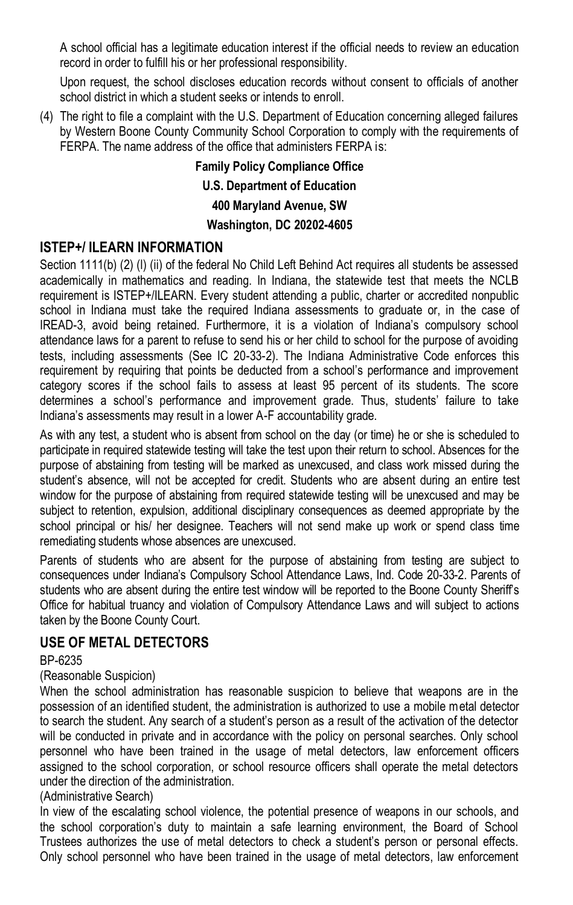A school official has a legitimate education interest if the official needs to review an education record in order to fulfill his or her professional responsibility.

Upon request, the school discloses education records without consent to officials of another school district in which a student seeks or intends to enroll.

(4) The right to file a complaint with the U.S. Department of Education concerning alleged failures by Western Boone County Community School Corporation to comply with the requirements of FERPA. The name address of the office that administers FERPA is:

> **Family Policy Compliance Office U.S. Department of Education 400 Maryland Avenue, SW Washington, DC 20202-4605**

### **ISTEP+/ II FARN INFORMATION**

Section 1111(b) (2) (l) (ii) of the federal No Child Left Behind Act requires all students be assessed academically in mathematics and reading. In Indiana, the statewide test that meets the NCLB requirement is ISTEP+/ILEARN. Every student attending a public, charter or accredited nonpublic school in Indiana must take the required Indiana assessments to graduate or, in the case of IREAD-3, avoid being retained. Furthermore, it is a violation of Indiana's compulsory school attendance laws for a parent to refuse to send his or her child to school for the purpose of avoiding tests, including assessments (See IC 20-33-2). The Indiana Administrative Code enforces this requirement by requiring that points be deducted from a school's performance and improvement category scores if the school fails to assess at least 95 percent of its students. The score determines a school's performance and improvement grade. Thus, students' failure to take Indiana's assessments may result in a lower A-F accountability grade.

As with any test, a student who is absent from school on the day (or time) he or she is scheduled to participate in required statewide testing will take the test upon their return to school. Absences for the purpose of abstaining from testing will be marked as unexcused, and class work missed during the student's absence, will not be accepted for credit. Students who are absent during an entire test window for the purpose of abstaining from required statewide testing will be unexcused and may be subject to retention, expulsion, additional disciplinary consequences as deemed appropriate by the school principal or his/ her designee. Teachers will not send make up work or spend class time remediating students whose absences are unexcused.

Parents of students who are absent for the purpose of abstaining from testing are subject to consequences under Indiana's Compulsory School Attendance Laws, Ind. Code 20-33-2. Parents of students who are absent during the entire test window will be reported to the Boone County Sheriff's Office for habitual truancy and violation of Compulsory Attendance Laws and will subject to actions taken by the Boone County Court.

#### **USE OF METAL DETECTORS**

#### BP-6235

#### (Reasonable Suspicion)

When the school administration has reasonable suspicion to believe that weapons are in the possession of an identified student, the administration is authorized to use a mobile metal detector to search the student. Any search of a student's person as a result of the activation of the detector will be conducted in private and in accordance with the policy on personal searches. Only school personnel who have been trained in the usage of metal detectors, law enforcement officers assigned to the school corporation, or school resource officers shall operate the metal detectors under the direction of the administration.

#### (Administrative Search)

In view of the escalating school violence, the potential presence of weapons in our schools, and the school corporation's duty to maintain a safe learning environment, the Board of School Trustees authorizes the use of metal detectors to check a student's person or personal effects. Only school personnel who have been trained in the usage of metal detectors, law enforcement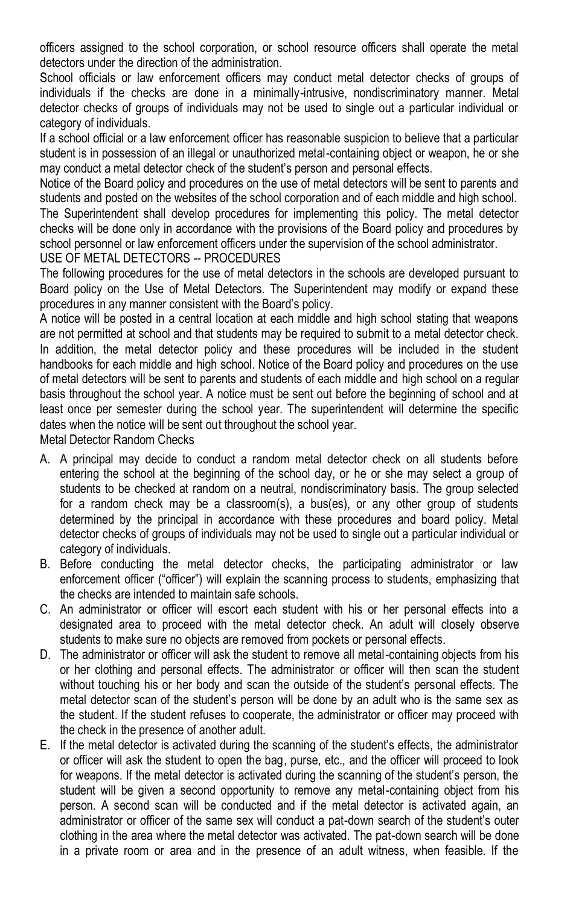officers assigned to the school corporation, or school resource officers shall operate the metal detectors under the direction of the administration.

School officials or law enforcement officers may conduct metal detector checks of groups of individuals if the checks are done in a minimally-intrusive, nondiscriminatory manner. Metal detector checks of groups of individuals may not be used to single out a particular individual or category of individuals.

If a school official or a law enforcement officer has reasonable suspicion to believe that a particular student is in possession of an illegal or unauthorized metal-containing object or weapon, he or she may conduct a metal detector check of the student's person and personal effects.

Notice of the Board policy and procedures on the use of metal detectors will be sent to parents and students and posted on the websites of the school corporation and of each middle and high school.

The Superintendent shall develop procedures for implementing this policy. The metal detector checks will be done only in accordance with the provisions of the Board policy and procedures by school personnel or law enforcement officers under the supervision of the school administrator. USE OF METAL DETECTORS -- PROCEDURES

The following procedures for the use of metal detectors in the schools are developed pursuant to Board policy on the Use of Metal Detectors. The Superintendent may modify or expand these procedures in any manner consistent with the Board's policy.

A notice will be posted in a central location at each middle and high school stating that weapons are not permitted at school and that students may be required to submit to a metal detector check. In addition, the metal detector policy and these procedures will be included in the student handbooks for each middle and high school. Notice of the Board policy and procedures on the use of metal detectors will be sent to parents and students of each middle and high school on a regular basis throughout the school year. A notice must be sent out before the beginning of school and at least once per semester during the school year. The superintendent will determine the specific dates when the notice will be sent out throughout the school year.

Metal Detector Random Checks

- A. A principal may decide to conduct a random metal detector check on all students before entering the school at the beginning of the school day, or he or she may select a group of students to be checked at random on a neutral, nondiscriminatory basis. The group selected for a random check may be a classroom(s), a bus(es), or any other group of students determined by the principal in accordance with these procedures and board policy. Metal detector checks of groups of individuals may not be used to single out a particular individual or category of individuals.
- B. Before conducting the metal detector checks, the participating administrator or law enforcement officer ("officer") will explain the scanning process to students, emphasizing that the checks are intended to maintain safe schools.
- C. An administrator or officer will escort each student with his or her personal effects into a designated area to proceed with the metal detector check. An adult will closely observe students to make sure no objects are removed from pockets or personal effects.
- D. The administrator or officer will ask the student to remove all metal-containing objects from his or her clothing and personal effects. The administrator or officer will then scan the student without touching his or her body and scan the outside of the student's personal effects. The metal detector scan of the student's person will be done by an adult who is the same sex as the student. If the student refuses to cooperate, the administrator or officer may proceed with the check in the presence of another adult.
- E. If the metal detector is activated during the scanning of the student's effects, the administrator or officer will ask the student to open the bag, purse, etc., and the officer will proceed to look for weapons. If the metal detector is activated during the scanning of the student's person, the student will be given a second opportunity to remove any metal-containing object from his person. A second scan will be conducted and if the metal detector is activated again, an administrator or officer of the same sex will conduct a pat-down search of the student's outer clothing in the area where the metal detector was activated. The pat-down search will be done in a private room or area and in the presence of an adult witness, when feasible. If the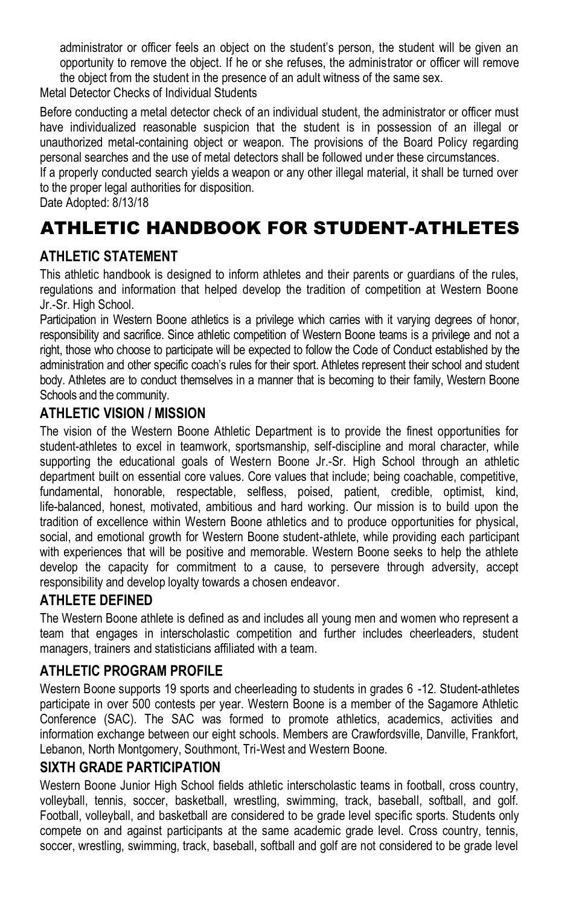administrator or officer feels an object on the student's person, the student will be given an opportunity to remove the object. If he or she refuses, the administrator or officer will remove the object from the student in the presence of an adult witness of the same sex.

Metal Detector Checks of Individual Students

Before conducting a metal detector check of an individual student, the administrator or officer must have individualized reasonable suspicion that the student is in possession of an illegal or unauthorized metal-containing object or weapon. The provisions of the Board Policy regarding personal searches and the use of metal detectors shall be followed under these circumstances.

If a properly conducted search yields a weapon or any other illegal material, it shall be turned over to the proper legal authorities for disposition.

Date Adopted: 8/13/18

# ATHLETIC HANDBOOK FOR STUDENT-ATHLETES

# **ATHLETIC STATEMENT**

This athletic handbook is designed to inform athletes and their parents or guardians of the rules, regulations and information that helped develop the tradition of competition at Western Boone Jr.-Sr. High School.

Participation in Western Boone athletics is a privilege which carries with it varying degrees of honor, responsibility and sacrifice. Since athletic competition of Western Boone teams is a privilege and not a right, those who choose to participate will be expected to follow the Code of Conduct established by the administration and other specific coach's rules for their sport. Athletes represent their school and student body. Athletes are to conduct themselves in a manner that is becoming to their family, Western Boone Schools and the community.

# **ATHLETIC VISION / MISSION**

The vision of the Western Boone Athletic Department is to provide the finest opportunities for student-athletes to excel in teamwork, sportsmanship, self-discipline and moral character, while supporting the educational goals of Western Boone Jr.-Sr. High School through an athletic department built on essential core values. Core values that include; being coachable, competitive, fundamental, honorable, respectable, selfless, poised, patient, credible, optimist, kind, life-balanced, honest, motivated, ambitious and hard working. Our mission is to build upon the tradition of excellence within Western Boone athletics and to produce opportunities for physical, social, and emotional growth for Western Boone student-athlete, while providing each participant with experiences that will be positive and memorable. Western Boone seeks to help the athlete develop the capacity for commitment to a cause, to persevere through adversity, accept responsibility and develop loyalty towards a chosen endeavor.

# **ATHLETE DEFINED**

The Western Boone athlete is defined as and includes all young men and women who represent a team that engages in interscholastic competition and further includes cheerleaders, student managers, trainers and statisticians affiliated with a team.

# **ATHLETIC PROGRAM PROFILE**

Western Boone supports 19 sports and cheerleading to students in grades 6 -12. Student-athletes participate in over 500 contests per year. Western Boone is a member of the Sagamore Athletic Conference (SAC). The SAC was formed to promote athletics, academics, activities and information exchange between our eight schools. Members are Crawfordsville, Danville, Frankfort, Lebanon, North Montgomery, Southmont, Tri-West and Western Boone.

# **SIXTH GRADE PARTICIPATION**

Western Boone Junior High School fields athletic interscholastic teams in football, cross country, volleyball, tennis, soccer, basketball, wrestling, swimming, track, baseball, softball, and golf. Football, volleyball, and basketball are considered to be grade level specific sports. Students only compete on and against participants at the same academic grade level. Cross country, tennis, soccer, wrestling, swimming, track, baseball, softball and golf are not considered to be grade level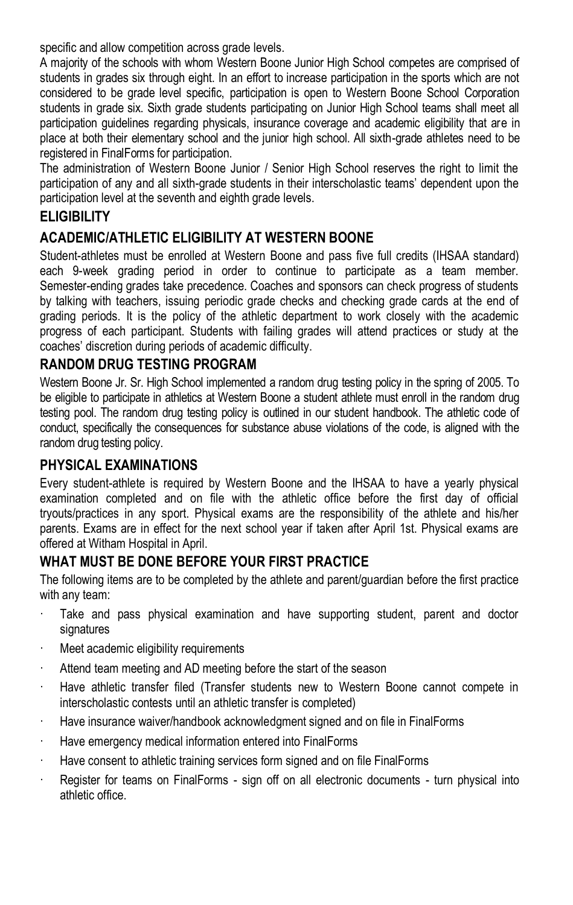specific and allow competition across grade levels.

A majority of the schools with whom Western Boone Junior High School competes are comprised of students in grades six through eight. In an effort to increase participation in the sports which are not considered to be grade level specific, participation is open to Western Boone School Corporation students in grade six. Sixth grade students participating on Junior High School teams shall meet all participation guidelines regarding physicals, insurance coverage and academic eligibility that are in place at both their elementary school and the junior high school. All sixth-grade athletes need to be registered in FinalForms for participation.

The administration of Western Boone Junior / Senior High School reserves the right to limit the participation of any and all sixth-grade students in their interscholastic teams' dependent upon the participation level at the seventh and eighth grade levels.

# **ELIGIBILITY**

# **ACADEMIC/ATHLETIC ELIGIBILITY AT WESTERN BOONE**

Student-athletes must be enrolled at Western Boone and pass five full credits (IHSAA standard) each 9-week grading period in order to continue to participate as a team member. Semester-ending grades take precedence. Coaches and sponsors can check progress of students by talking with teachers, issuing periodic grade checks and checking grade cards at the end of grading periods. It is the policy of the athletic department to work closely with the academic progress of each participant. Students with failing grades will attend practices or study at the coaches' discretion during periods of academic difficulty.

# **RANDOM DRUG TESTING PROGRAM**

Western Boone Jr. Sr. High School implemented a random drug testing policy in the spring of 2005. To be eligible to participate in athletics at Western Boone a student athlete must enroll in the random drug testing pool. The random drug testing policy is outlined in our student handbook. The athletic code of conduct, specifically the consequences for substance abuse violations of the code, is aligned with the random drug testing policy.

#### **PHYSICAL EXAMINATIONS**

Every student-athlete is required by Western Boone and the IHSAA to have a yearly physical examination completed and on file with the athletic office before the first day of official tryouts/practices in any sport. Physical exams are the responsibility of the athlete and his/her parents. Exams are in effect for the next school year if taken after April 1st. Physical exams are offered at Witham Hospital in April.

# **WHAT MUST BE DONE BEFORE YOUR FIRST PRACTICE**

The following items are to be completed by the athlete and parent/guardian before the first practice with any team:

- Take and pass physical examination and have supporting student, parent and doctor signatures
- · Meet academic eligibility requirements
- Attend team meeting and AD meeting before the start of the season
- · Have athletic transfer filed (Transfer students new to Western Boone cannot compete in interscholastic contests until an athletic transfer is completed)
- Have insurance waiver/handbook acknowledgment signed and on file in FinalForms
- Have emergency medical information entered into FinalForms
- Have consent to athletic training services form signed and on file FinalForms
- Register for teams on FinalForms sign off on all electronic documents turn physical into athletic office.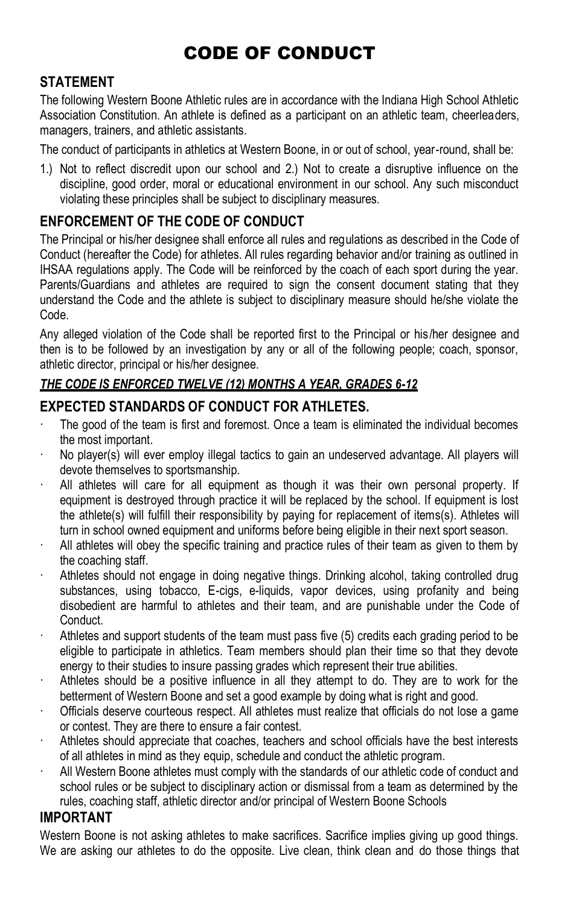# CODE OF CONDUCT

# **STATEMENT**

The following Western Boone Athletic rules are in accordance with the Indiana High School Athletic Association Constitution. An athlete is defined as a participant on an athletic team, cheerleaders, managers, trainers, and athletic assistants.

The conduct of participants in athletics at Western Boone, in or out of school, year-round, shall be:

1.) Not to reflect discredit upon our school and 2.) Not to create a disruptive influence on the discipline, good order, moral or educational environment in our school. Any such misconduct violating these principles shall be subject to disciplinary measures.

# **ENFORCEMENT OF THE CODE OF CONDUCT**

The Principal or his/her designee shall enforce all rules and regulations as described in the Code of Conduct (hereafter the Code) for athletes. All rules regarding behavior and/or training as outlined in IHSAA regulations apply. The Code will be reinforced by the coach of each sport during the year. Parents/Guardians and athletes are required to sign the consent document stating that they understand the Code and the athlete is subject to disciplinary measure should he/she violate the Code.

Any alleged violation of the Code shall be reported first to the Principal or his/her designee and then is to be followed by an investigation by any or all of the following people; coach, sponsor, athletic director, principal or his/her designee.

### *THE CODE IS ENFORCED TWELVE (12) MONTHS A YEAR, GRADES 6-12*

# **EXPECTED STANDARDS OF CONDUCT FOR ATHLETES.**

- · The good of the team is first and foremost. Once a team is eliminated the individual becomes the most important.
- · No player(s) will ever employ illegal tactics to gain an undeserved advantage. All players will devote themselves to sportsmanship.
- · All athletes will care for all equipment as though it was their own personal property. If equipment is destroyed through practice it will be replaced by the school. If equipment is lost the athlete(s) will fulfill their responsibility by paying for replacement of items(s). Athletes will turn in school owned equipment and uniforms before being eligible in their next sport season.
- All athletes will obey the specific training and practice rules of their team as given to them by the coaching staff.
- Athletes should not engage in doing negative things. Drinking alcohol, taking controlled drug substances, using tobacco, E-cigs, e-liquids, vapor devices, using profanity and being disobedient are harmful to athletes and their team, and are punishable under the Code of Conduct.
- · Athletes and support students of the team must pass five (5) credits each grading period to be eligible to participate in athletics. Team members should plan their time so that they devote energy to their studies to insure passing grades which represent their true abilities.
- Athletes should be a positive influence in all they attempt to do. They are to work for the betterment of Western Boone and set a good example by doing what is right and good.
- · Officials deserve courteous respect. All athletes must realize that officials do not lose a game or contest. They are there to ensure a fair contest.
- · Athletes should appreciate that coaches, teachers and school officials have the best interests of all athletes in mind as they equip, schedule and conduct the athletic program.
- · All Western Boone athletes must comply with the standards of our athletic code of conduct and school rules or be subject to disciplinary action or dismissal from a team as determined by the rules, coaching staff, athletic director and/or principal of Western Boone Schools

# **IMPORTANT**

Western Boone is not asking athletes to make sacrifices. Sacrifice implies giving up good things. We are asking our athletes to do the opposite. Live clean, think clean and do those things that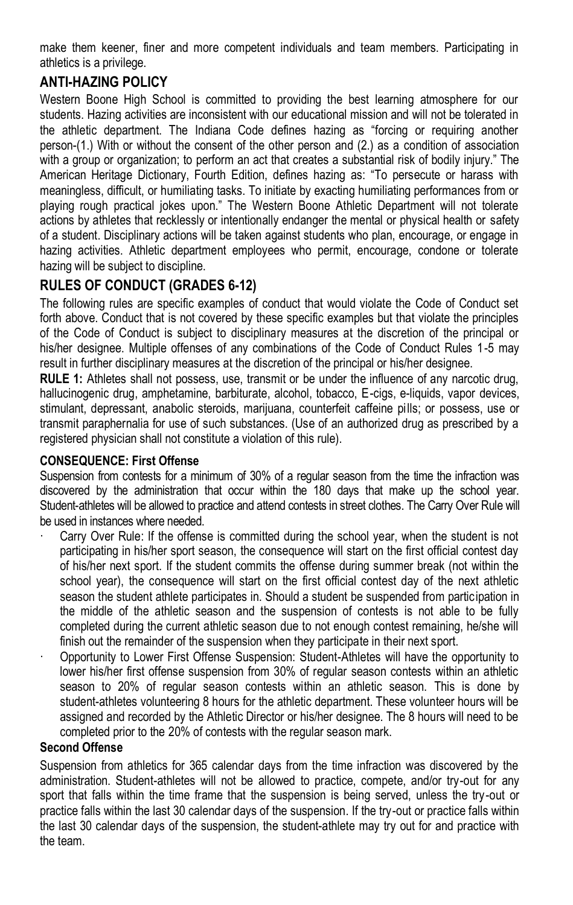make them keener, finer and more competent individuals and team members. Participating in athletics is a privilege.

# **ANTI-HAZING POLICY**

Western Boone High School is committed to providing the best learning atmosphere for our students. Hazing activities are inconsistent with our educational mission and will not be tolerated in the athletic department. The Indiana Code defines hazing as "forcing or requiring another person-(1.) With or without the consent of the other person and (2.) as a condition of association with a group or organization; to perform an act that creates a substantial risk of bodily injury." The American Heritage Dictionary, Fourth Edition, defines hazing as: "To persecute or harass with meaningless, difficult, or humiliating tasks. To initiate by exacting humiliating performances from or playing rough practical jokes upon." The Western Boone Athletic Department will not tolerate actions by athletes that recklessly or intentionally endanger the mental or physical health or safety of a student. Disciplinary actions will be taken against students who plan, encourage, or engage in hazing activities. Athletic department employees who permit, encourage, condone or tolerate hazing will be subject to discipline.

# **RULES OF CONDUCT (GRADES 6-12)**

The following rules are specific examples of conduct that would violate the Code of Conduct set forth above. Conduct that is not covered by these specific examples but that violate the principles of the Code of Conduct is subject to disciplinary measures at the discretion of the principal or his/her designee. Multiple offenses of any combinations of the Code of Conduct Rules 1-5 may result in further disciplinary measures at the discretion of the principal or his/her designee.

**RULE 1:** Athletes shall not possess, use, transmit or be under the influence of any narcotic drug, hallucinogenic drug, amphetamine, barbiturate, alcohol, tobacco, E-cigs, e-liquids, vapor devices, stimulant, depressant, anabolic steroids, marijuana, counterfeit caffeine pills; or possess, use or transmit paraphernalia for use of such substances. (Use of an authorized drug as prescribed by a registered physician shall not constitute a violation of this rule).

#### **CONSEQUENCE: First Offense**

Suspension from contests for a minimum of 30% of a regular season from the time the infraction was discovered by the administration that occur within the 180 days that make up the school year. Student-athletes will be allowed to practice and attend contests in street clothes. The Carry Over Rule will be used in instances where needed.

- Carry Over Rule: If the offense is committed during the school year, when the student is not participating in his/her sport season, the consequence will start on the first official contest day of his/her next sport. If the student commits the offense during summer break (not within the school year), the consequence will start on the first official contest day of the next athletic season the student athlete participates in. Should a student be suspended from participation in the middle of the athletic season and the suspension of contests is not able to be fully completed during the current athletic season due to not enough contest remaining, he/she will finish out the remainder of the suspension when they participate in their next sport.
- · Opportunity to Lower First Offense Suspension: Student-Athletes will have the opportunity to lower his/her first offense suspension from 30% of regular season contests within an athletic season to 20% of regular season contests within an athletic season. This is done by student-athletes volunteering 8 hours for the athletic department. These volunteer hours will be assigned and recorded by the Athletic Director or his/her designee. The 8 hours will need to be completed prior to the 20% of contests with the regular season mark.

#### **Second Offense**

Suspension from athletics for 365 calendar days from the time infraction was discovered by the administration. Student-athletes will not be allowed to practice, compete, and/or try-out for any sport that falls within the time frame that the suspension is being served, unless the try-out or practice falls within the last 30 calendar days of the suspension. If the try-out or practice falls within the last 30 calendar days of the suspension, the student-athlete may try out for and practice with the team.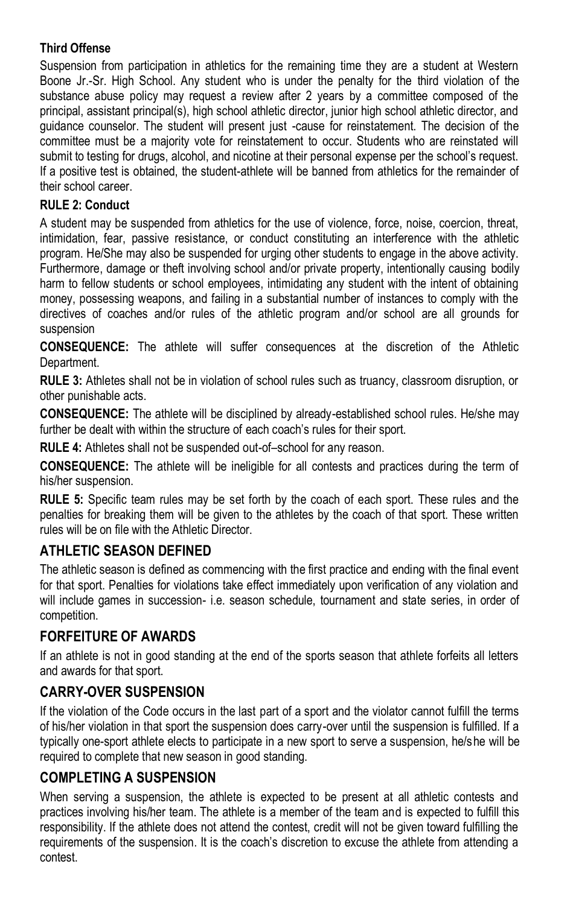#### **Third Offense**

Suspension from participation in athletics for the remaining time they are a student at Western Boone Jr.-Sr. High School. Any student who is under the penalty for the third violation of the substance abuse policy may request a review after 2 years by a committee composed of the principal, assistant principal(s), high school athletic director, junior high school athletic director, and guidance counselor. The student will present just -cause for reinstatement. The decision of the committee must be a majority vote for reinstatement to occur. Students who are reinstated will submit to testing for drugs, alcohol, and nicotine at their personal expense per the school's request. If a positive test is obtained, the student-athlete will be banned from athletics for the remainder of their school career.

#### **RULE 2: Conduct**

A student may be suspended from athletics for the use of violence, force, noise, coercion, threat, intimidation, fear, passive resistance, or conduct constituting an interference with the athletic program. He/She may also be suspended for urging other students to engage in the above activity. Furthermore, damage or theft involving school and/or private property, intentionally causing bodily harm to fellow students or school employees, intimidating any student with the intent of obtaining money, possessing weapons, and failing in a substantial number of instances to comply with the directives of coaches and/or rules of the athletic program and/or school are all grounds for suspension

**CONSEQUENCE:** The athlete will suffer consequences at the discretion of the Athletic Department.

**RULE 3:** Athletes shall not be in violation of school rules such as truancy, classroom disruption, or other punishable acts.

**CONSEQUENCE:** The athlete will be disciplined by already-established school rules. He/she may further be dealt with within the structure of each coach's rules for their sport.

**RULE 4:** Athletes shall not be suspended out-of–school for any reason.

**CONSEQUENCE:** The athlete will be ineligible for all contests and practices during the term of his/her suspension.

**RULE 5:** Specific team rules may be set forth by the coach of each sport. These rules and the penalties for breaking them will be given to the athletes by the coach of that sport. These written rules will be on file with the Athletic Director.

# **ATHLETIC SEASON DEFINED**

The athletic season is defined as commencing with the first practice and ending with the final event for that sport. Penalties for violations take effect immediately upon verification of any violation and will include games in succession- i.e. season schedule, tournament and state series, in order of competition.

# **FORFEITURE OF AWARDS**

If an athlete is not in good standing at the end of the sports season that athlete forfeits all letters and awards for that sport.

# **CARRY-OVER SUSPENSION**

If the violation of the Code occurs in the last part of a sport and the violator cannot fulfill the terms of his/her violation in that sport the suspension does carry-over until the suspension is fulfilled. If a typically one-sport athlete elects to participate in a new sport to serve a suspension, he/she will be required to complete that new season in good standing.

# **COMPLETING A SUSPENSION**

When serving a suspension, the athlete is expected to be present at all athletic contests and practices involving his/her team. The athlete is a member of the team and is expected to fulfill this responsibility. If the athlete does not attend the contest, credit will not be given toward fulfilling the requirements of the suspension. It is the coach's discretion to excuse the athlete from attending a contest.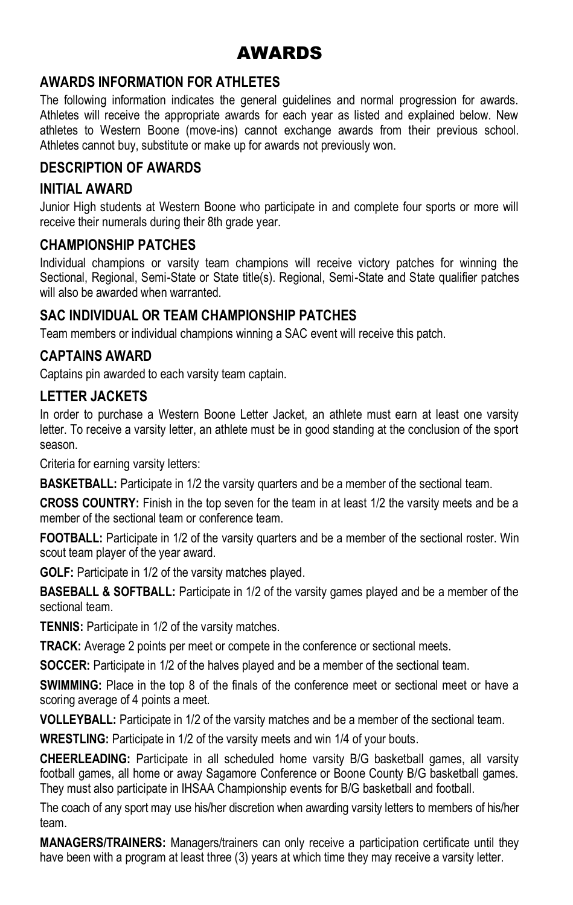# AWARDS

# **AWARDS INFORMATION FOR ATHLETES**

The following information indicates the general guidelines and normal progression for awards. Athletes will receive the appropriate awards for each year as listed and explained below. New athletes to Western Boone (move-ins) cannot exchange awards from their previous school. Athletes cannot buy, substitute or make up for awards not previously won.

### **DESCRIPTION OF AWARDS**

#### **INITIAL AWARD**

Junior High students at Western Boone who participate in and complete four sports or more will receive their numerals during their 8th grade year.

#### **CHAMPIONSHIP PATCHES**

Individual champions or varsity team champions will receive victory patches for winning the Sectional, Regional, Semi-State or State title(s). Regional, Semi-State and State qualifier patches will also be awarded when warranted.

### **SAC INDIVIDUAL OR TEAM CHAMPIONSHIP PATCHES**

Team members or individual champions winning a SAC event will receive this patch.

#### **CAPTAINS AWARD**

Captains pin awarded to each varsity team captain.

#### **LETTER JACKETS**

In order to purchase a Western Boone Letter Jacket, an athlete must earn at least one varsity letter. To receive a varsity letter, an athlete must be in good standing at the conclusion of the sport season.

Criteria for earning varsity letters:

**BASKETBALL:** Participate in 1/2 the varsity quarters and be a member of the sectional team.

**CROSS COUNTRY:** Finish in the top seven for the team in at least 1/2 the varsity meets and be a member of the sectional team or conference team.

**FOOTBALL:** Participate in 1/2 of the varsity quarters and be a member of the sectional roster. Win scout team player of the year award.

**GOLF:** Participate in 1/2 of the varsity matches played.

**BASEBALL & SOFTBALL:** Participate in 1/2 of the varsity games played and be a member of the sectional team.

**TENNIS:** Participate in 1/2 of the varsity matches.

**TRACK:** Average 2 points per meet or compete in the conference or sectional meets.

**SOCCER:** Participate in 1/2 of the halves played and be a member of the sectional team.

**SWIMMING:** Place in the top 8 of the finals of the conference meet or sectional meet or have a scoring average of 4 points a meet.

**VOLLEYBALL:** Participate in 1/2 of the varsity matches and be a member of the sectional team.

**WRESTLING:** Participate in 1/2 of the varsity meets and win 1/4 of your bouts.

**CHEERLEADING:** Participate in all scheduled home varsity B/G basketball games, all varsity football games, all home or away Sagamore Conference or Boone County B/G basketball games. They must also participate in IHSAA Championship events for B/G basketball and football.

The coach of any sport may use his/her discretion when awarding varsity letters to members of his/her team.

**MANAGERS/TRAINERS:** Managers/trainers can only receive a participation certificate until they have been with a program at least three (3) years at which time they may receive a varsity letter.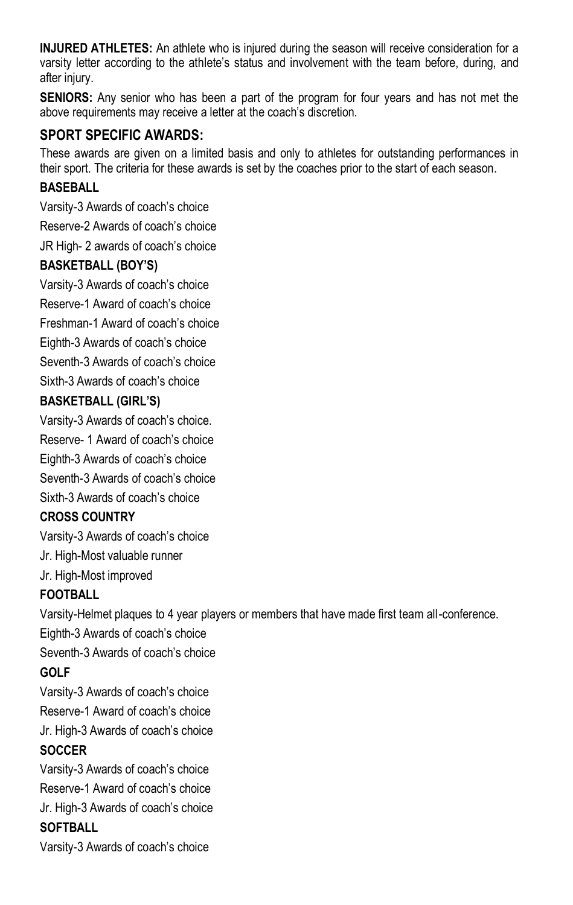**INJURED ATHLETES:** An athlete who is injured during the season will receive consideration for a varsity letter according to the athlete's status and involvement with the team before, during, and after injury.

**SENIORS:** Any senior who has been a part of the program for four years and has not met the above requirements may receive a letter at the coach's discretion.

# **SPORT SPECIFIC AWARDS:**

These awards are given on a limited basis and only to athletes for outstanding performances in their sport. The criteria for these awards is set by the coaches prior to the start of each season.

#### **BASEBALL**

Varsity-3 Awards of coach's choice

Reserve-2 Awards of coach's choice

JR High- 2 awards of coach's choice

### **BASKETBALL (BOY'S)**

Varsity-3 Awards of coach's choice

Reserve-1 Award of coach's choice

Freshman-1 Award of coach's choice

Eighth-3 Awards of coach's choice

Seventh-3 Awards of coach's choice

Sixth-3 Awards of coach's choice

### **BASKETBALL (GIRL'S)**

Varsity-3 Awards of coach's choice. Reserve- 1 Award of coach's choice

Eighth-3 Awards of coach's choice

Seventh-3 Awards of coach's choice

Sixth-3 Awards of coach's choice

#### **CROSS COUNTRY**

Varsity-3 Awards of coach's choice

Jr. High-Most valuable runner

Jr. High-Most improved

# **FOOTBALL**

Varsity-Helmet plaques to 4 year players or members that have made first team all-conference.

Eighth-3 Awards of coach's choice

Seventh-3 Awards of coach's choice

# **GOLF**

Varsity-3 Awards of coach's choice Reserve-1 Award of coach's choice Jr. High-3 Awards of coach's choice **SOCCER**

# Varsity-3 Awards of coach's choice Reserve-1 Award of coach's choice Jr. High-3 Awards of coach's choice

# **SOFTBALL**

Varsity-3 Awards of coach's choice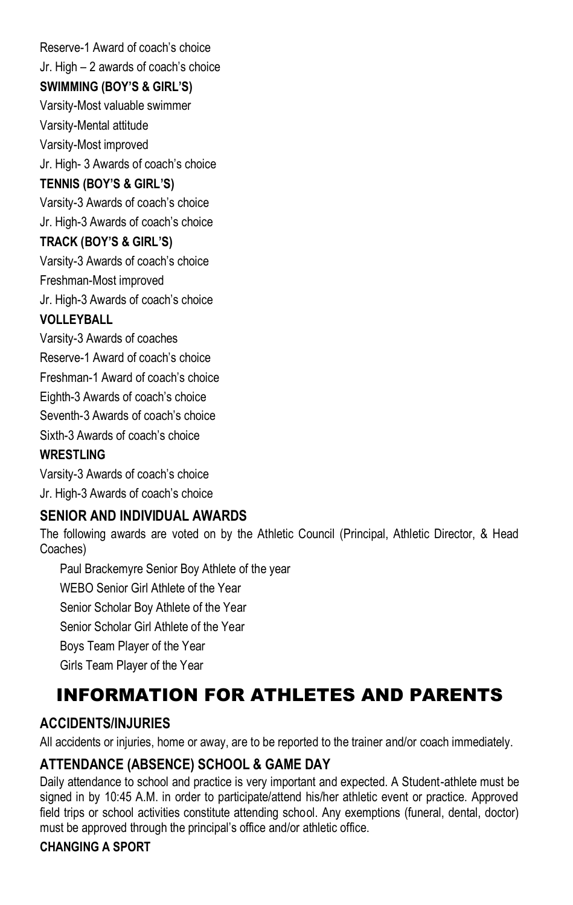Reserve-1 Award of coach's choice Jr. High – 2 awards of coach's choice

### **SWIMMING (BOY'S & GIRL'S)**

Varsity-Most valuable swimmer Varsity-Mental attitude Varsity-Most improved

Jr. High- 3 Awards of coach's choice

#### **TENNIS (BOY'S & GIRL'S)**

Varsity-3 Awards of coach's choice Jr. High-3 Awards of coach's choice

### **TRACK (BOY'S & GIRL'S)**

Varsity-3 Awards of coach's choice

Freshman-Most improved

Jr. High-3 Awards of coach's choice

### **VOLLEYBALL**

Varsity-3 Awards of coaches Reserve-1 Award of coach's choice Freshman-1 Award of coach's choice

Eighth-3 Awards of coach's choice

Seventh-3 Awards of coach's choice

Sixth-3 Awards of coach's choice

### **WRESTI ING**

Varsity-3 Awards of coach's choice Jr. High-3 Awards of coach's choice

# **SENIOR AND INDIVIDUAL AWARDS**

The following awards are voted on by the Athletic Council (Principal, Athletic Director, & Head Coaches)

Paul Brackemyre Senior Boy Athlete of the year WEBO Senior Girl Athlete of the Year Senior Scholar Boy Athlete of the Year Senior Scholar Girl Athlete of the Year Boys Team Player of the Year Girls Team Player of the Year

# INFORMATION FOR ATHLETES AND PARENTS

# **ACCIDENTS/INJURIES**

All accidents or injuries, home or away, are to be reported to the trainer and/or coach immediately.

# **ATTENDANCE (ABSENCE) SCHOOL & GAME DAY**

Daily attendance to school and practice is very important and expected. A Student-athlete must be signed in by 10:45 A.M. in order to participate/attend his/her athletic event or practice. Approved field trips or school activities constitute attending school. Any exemptions (funeral, dental, doctor) must be approved through the principal's office and/or athletic office.

# **CHANGING A SPORT**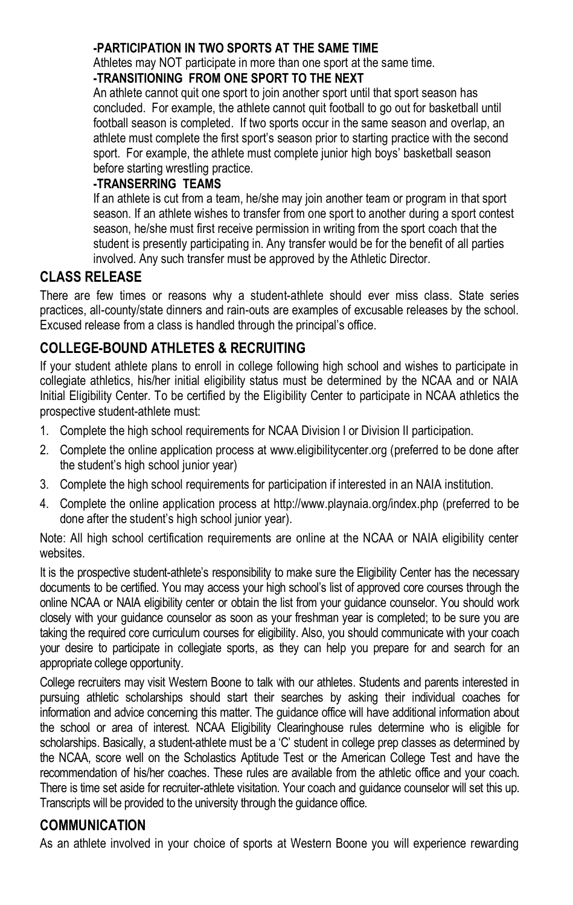#### **-PARTICIPATION IN TWO SPORTS AT THE SAME TIME**

Athletes may NOT participate in more than one sport at the same time.

# **-TRANSITIONING FROM ONE SPORT TO THE NEXT**

An athlete cannot quit one sport to join another sport until that sport season has concluded. For example, the athlete cannot quit football to go out for basketball until football season is completed. If two sports occur in the same season and overlap, an athlete must complete the first sport's season prior to starting practice with the second sport. For example, the athlete must complete junior high boys' basketball season before starting wrestling practice.

#### **-TRANSERRING TEAMS**

If an athlete is cut from a team, he/she may join another team or program in that sport season. If an athlete wishes to transfer from one sport to another during a sport contest season, he/she must first receive permission in writing from the sport coach that the student is presently participating in. Any transfer would be for the benefit of all parties involved. Any such transfer must be approved by the Athletic Director.

### **CLASS RELEASE**

There are few times or reasons why a student-athlete should ever miss class. State series practices, all-county/state dinners and rain-outs are examples of excusable releases by the school. Excused release from a class is handled through the principal's office.

### **COLLEGE-BOUND ATHLETES & RECRUITING**

If your student athlete plans to enroll in college following high school and wishes to participate in collegiate athletics, his/her initial eligibility status must be determined by the NCAA and or NAIA Initial Eligibility Center. To be certified by the Eligibility Center to participate in NCAA athletics the prospective student-athlete must:

- 1. Complete the high school requirements for NCAA Division I or Division II participation.
- 2. Complete the online application process at www.eligibilitycenter.org (preferred to be done after the student's high school junior year)
- 3. Complete the high school requirements for participation if interested in an NAIA institution.
- 4. Complete the online application process at http://www.playnaia.org/index.php (preferred to be done after the student's high school junior year).

Note: All high school certification requirements are online at the NCAA or NAIA eligibility center websites.

It is the prospective student-athlete's responsibility to make sure the Eligibility Center has the necessary documents to be certified. You may access your high school's list of approved core courses through the online NCAA or NAIA eligibility center or obtain the list from your guidance counselor. You should work closely with your guidance counselor as soon as your freshman year is completed; to be sure you are taking the required core curriculum courses for eligibility. Also, you should communicate with your coach your desire to participate in collegiate sports, as they can help you prepare for and search for an appropriate college opportunity.

College recruiters may visit Western Boone to talk with our athletes. Students and parents interested in pursuing athletic scholarships should start their searches by asking their individual coaches for information and advice concerning this matter. The guidance office will have additional information about the school or area of interest. NCAA Eligibility Clearinghouse rules determine who is eligible for scholarships. Basically, a student-athlete must be a 'C' student in college prep classes as determined by the NCAA, score well on the Scholastics Aptitude Test or the American College Test and have the recommendation of his/her coaches. These rules are available from the athletic office and your coach. There is time set aside for recruiter-athlete visitation. Your coach and guidance counselor will set this up. Transcripts will be provided to the university through the guidance office.

#### **COMMUNICATION**

As an athlete involved in your choice of sports at Western Boone you will experience rewarding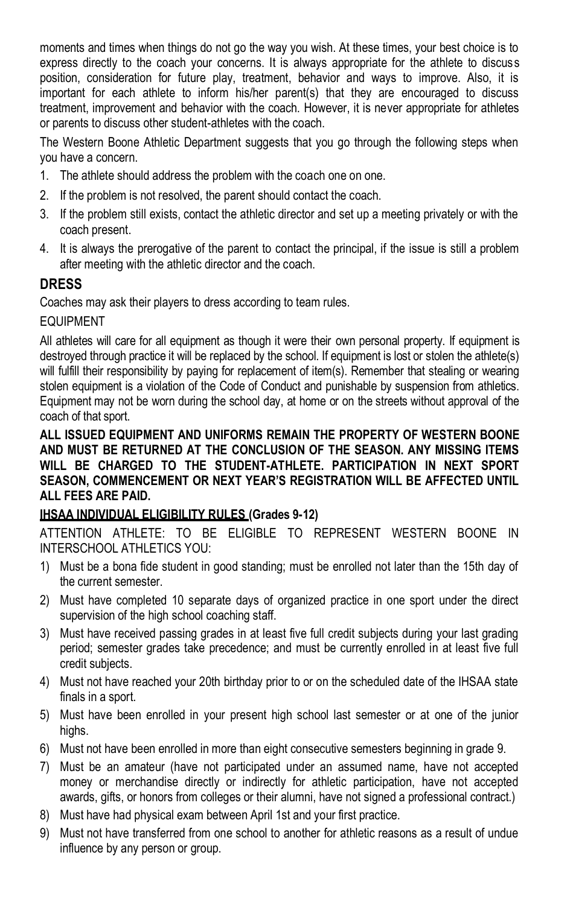moments and times when things do not go the way you wish. At these times, your best choice is to express directly to the coach your concerns. It is always appropriate for the athlete to discuss position, consideration for future play, treatment, behavior and ways to improve. Also, it is important for each athlete to inform his/her parent(s) that they are encouraged to discuss treatment, improvement and behavior with the coach. However, it is never appropriate for athletes or parents to discuss other student-athletes with the coach.

The Western Boone Athletic Department suggests that you go through the following steps when you have a concern.

- 1. The athlete should address the problem with the coach one on one.
- 2. If the problem is not resolved, the parent should contact the coach.
- 3. If the problem still exists, contact the athletic director and set up a meeting privately or with the coach present.
- 4. It is always the prerogative of the parent to contact the principal, if the issue is still a problem after meeting with the athletic director and the coach.

# **DRESS**

Coaches may ask their players to dress according to team rules.

#### EQUIPMENT

All athletes will care for all equipment as though it were their own personal property. If equipment is destroyed through practice it will be replaced by the school. If equipment is lost or stolen the athlete(s) will fulfill their responsibility by paying for replacement of item(s). Remember that stealing or wearing stolen equipment is a violation of the Code of Conduct and punishable by suspension from athletics. Equipment may not be worn during the school day, at home or on the streets without approval of the coach of that sport.

#### **ALL ISSUED EQUIPMENT AND UNIFORMS REMAIN THE PROPERTY OF WESTERN BOONE AND MUST BE RETURNED AT THE CONCLUSION OF THE SEASON. ANY MISSING ITEMS WILL BE CHARGED TO THE STUDENT-ATHLETE. PARTICIPATION IN NEXT SPORT SEASON, COMMENCEMENT OR NEXT YEAR'S REGISTRATION WILL BE AFFECTED UNTIL ALL FEES ARE PAID.**

#### **IHSAA INDIVIDUAL ELIGIBILITY RULES (Grades 9-12)**

ATTENTION ATHLETE: TO BE ELIGIBLE TO REPRESENT WESTERN BOONE IN INTERSCHOOL ATHLETICS YOU:

- 1) Must be a bona fide student in good standing; must be enrolled not later than the 15th day of the current semester.
- 2) Must have completed 10 separate days of organized practice in one sport under the direct supervision of the high school coaching staff.
- 3) Must have received passing grades in at least five full credit subjects during your last grading period; semester grades take precedence; and must be currently enrolled in at least five full credit subjects.
- 4) Must not have reached your 20th birthday prior to or on the scheduled date of the IHSAA state finals in a sport.
- 5) Must have been enrolled in your present high school last semester or at one of the junior highs.
- 6) Must not have been enrolled in more than eight consecutive semesters beginning in grade 9.
- 7) Must be an amateur (have not participated under an assumed name, have not accepted money or merchandise directly or indirectly for athletic participation, have not accepted awards, gifts, or honors from colleges or their alumni, have not signed a professional contract.)
- 8) Must have had physical exam between April 1st and your first practice.
- 9) Must not have transferred from one school to another for athletic reasons as a result of undue influence by any person or group.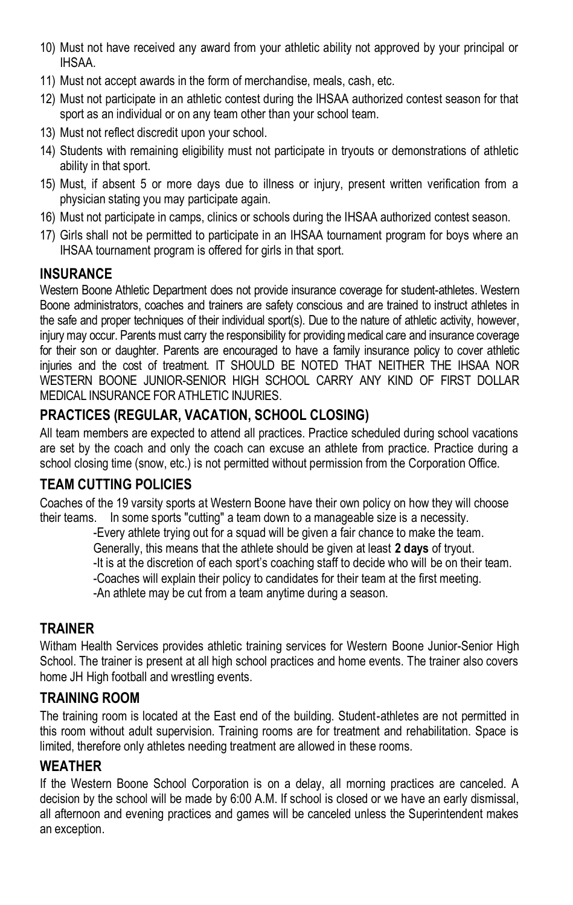- 10) Must not have received any award from your athletic ability not approved by your principal or IHSAA.
- 11) Must not accept awards in the form of merchandise, meals, cash, etc.
- 12) Must not participate in an athletic contest during the IHSAA authorized contest season for that sport as an individual or on any team other than your school team.
- 13) Must not reflect discredit upon your school.
- 14) Students with remaining eligibility must not participate in tryouts or demonstrations of athletic ability in that sport.
- 15) Must, if absent 5 or more days due to illness or injury, present written verification from a physician stating you may participate again.
- 16) Must not participate in camps, clinics or schools during the IHSAA authorized contest season.
- 17) Girls shall not be permitted to participate in an IHSAA tournament program for boys where an IHSAA tournament program is offered for girls in that sport.

# **INSURANCE**

Western Boone Athletic Department does not provide insurance coverage for student-athletes. Western Boone administrators, coaches and trainers are safety conscious and are trained to instruct athletes in the safe and proper techniques of their individual sport(s). Due to the nature of athletic activity, however, injury may occur. Parents must carry the responsibility for providing medical care and insurance coverage for their son or daughter. Parents are encouraged to have a family insurance policy to cover athletic injuries and the cost of treatment. IT SHOULD BE NOTED THAT NEITHER THE IHSAA NOR WESTERN BOONE JUNIOR-SENIOR HIGH SCHOOL CARRY ANY KIND OF FIRST DOLLAR MEDICAL INSURANCE FOR ATHLETIC INJURIES.

# **PRACTICES (REGULAR, VACATION, SCHOOL CLOSING)**

All team members are expected to attend all practices. Practice scheduled during school vacations are set by the coach and only the coach can excuse an athlete from practice. Practice during a school closing time (snow, etc.) is not permitted without permission from the Corporation Office.

# **TEAM CUTTING POLICIES**

Coaches of the 19 varsity sports at Western Boone have their own policy on how they will choose their teams. In some sports "cutting" a team down to a manageable size is a necessity.

-Every athlete trying out for a squad will be given a fair chance to make the team.

Generally, this means that the athlete should be given at least **2 days** of tryout.

-It is at the discretion of each sport's coaching staff to decide who will be on their team.

-Coaches will explain their policy to candidates for their team at the first meeting.

-An athlete may be cut from a team anytime during a season.

#### **TRAINER**

Witham Health Services provides athletic training services for Western Boone Junior-Senior High School. The trainer is present at all high school practices and home events. The trainer also covers home JH High football and wrestling events.

#### **TRAINING ROOM**

The training room is located at the East end of the building. Student-athletes are not permitted in this room without adult supervision. Training rooms are for treatment and rehabilitation. Space is limited, therefore only athletes needing treatment are allowed in these rooms.

#### **WEATHER**

If the Western Boone School Corporation is on a delay, all morning practices are canceled. A decision by the school will be made by 6:00 A.M. If school is closed or we have an early dismissal, all afternoon and evening practices and games will be canceled unless the Superintendent makes an exception.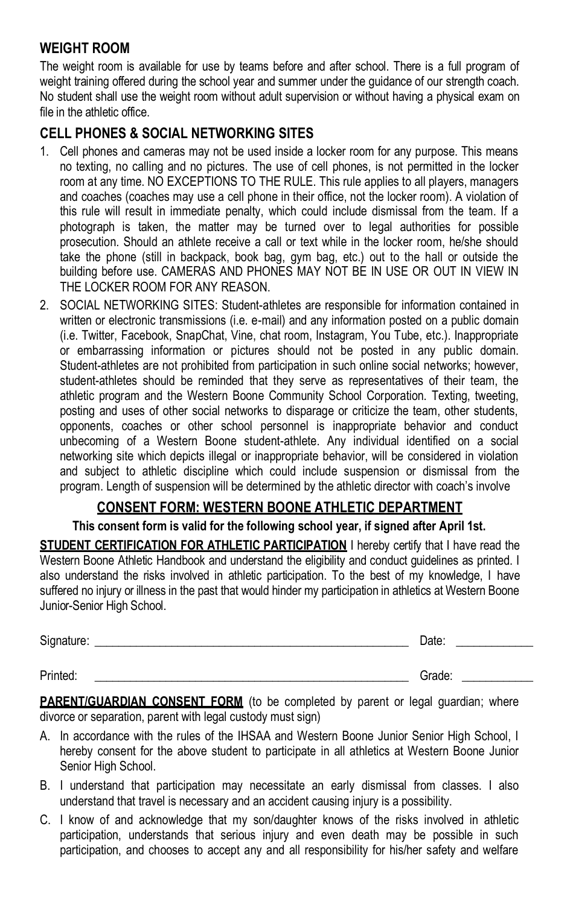#### **WEIGHT ROOM**

The weight room is available for use by teams before and after school. There is a full program of weight training offered during the school year and summer under the guidance of our strength coach. No student shall use the weight room without adult supervision or without having a physical exam on file in the athletic office.

# **CELL PHONES & SOCIAL NETWORKING SITES**

- 1. Cell phones and cameras may not be used inside a locker room for any purpose. This means no texting, no calling and no pictures. The use of cell phones, is not permitted in the locker room at any time. NO EXCEPTIONS TO THE RULE. This rule applies to all players, managers and coaches (coaches may use a cell phone in their office, not the locker room). A violation of this rule will result in immediate penalty, which could include dismissal from the team. If a photograph is taken, the matter may be turned over to legal authorities for possible prosecution. Should an athlete receive a call or text while in the locker room, he/she should take the phone (still in backpack, book bag, gym bag, etc.) out to the hall or outside the building before use. CAMERAS AND PHONES MAY NOT BE IN USE OR OUT IN VIEW IN THE LOCKER ROOM FOR ANY REASON.
- 2. SOCIAL NETWORKING SITES: Student-athletes are responsible for information contained in written or electronic transmissions (i.e. e-mail) and any information posted on a public domain (i.e. Twitter, Facebook, SnapChat, Vine, chat room, Instagram, You Tube, etc.). Inappropriate or embarrassing information or pictures should not be posted in any public domain. Student-athletes are not prohibited from participation in such online social networks; however, student-athletes should be reminded that they serve as representatives of their team, the athletic program and the Western Boone Community School Corporation. Texting, tweeting, posting and uses of other social networks to disparage or criticize the team, other students, opponents, coaches or other school personnel is inappropriate behavior and conduct unbecoming of a Western Boone student-athlete. Any individual identified on a social networking site which depicts illegal or inappropriate behavior, will be considered in violation and subject to athletic discipline which could include suspension or dismissal from the program. Length of suspension will be determined by the athletic director with coach's involve

#### **CONSENT FORM: WESTERN BOONE ATHLETIC DEPARTMENT**

**This consent form is valid for the following school year, if signed after April 1st.**

**STUDENT CERTIFICATION FOR ATHLETIC PARTICIPATION** I hereby certify that I have read the Western Boone Athletic Handbook and understand the eligibility and conduct guidelines as printed. I also understand the risks involved in athletic participation. To the best of my knowledge, I have suffered no injury or illness in the past that would hinder my participation in athletics at Western Boone Junior-Senior High School.

| Signature: | <b>Jalu</b> |  |
|------------|-------------|--|
|            |             |  |

Printed: \_\_\_\_\_\_\_\_\_\_\_\_\_\_\_\_\_\_\_\_\_\_\_\_\_\_\_\_\_\_\_\_\_\_\_\_\_\_\_\_\_\_\_\_\_\_\_\_\_\_\_\_\_ Grade: \_\_\_\_\_\_\_\_\_\_\_\_

**PARENT/GUARDIAN CONSENT FORM** (to be completed by parent or legal guardian; where divorce or separation, parent with legal custody must sign)

- A. In accordance with the rules of the IHSAA and Western Boone Junior Senior High School, I hereby consent for the above student to participate in all athletics at Western Boone Junior Senior High School.
- B. I understand that participation may necessitate an early dismissal from classes. I also understand that travel is necessary and an accident causing injury is a possibility.
- C. I know of and acknowledge that my son/daughter knows of the risks involved in athletic participation, understands that serious injury and even death may be possible in such participation, and chooses to accept any and all responsibility for his/her safety and welfare